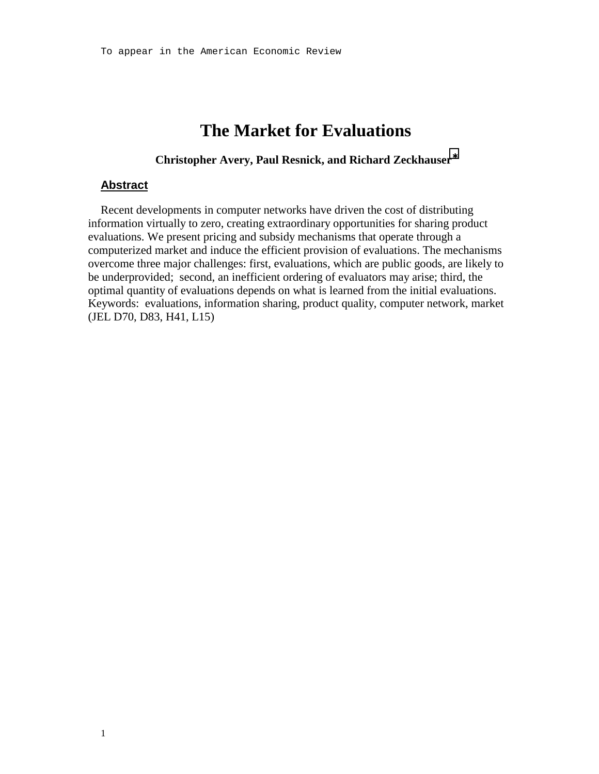# **The Market for Evaluations**

## **Christopher Avery, Paul Resnick, and Richard Zeckhauser**[∗](#page-37-0)

#### **Abstract**

Recent developments in computer networks have driven the cost of distributing information virtually to zero, creating extraordinary opportunities for sharing product evaluations. We present pricing and subsidy mechanisms that operate through a computerized market and induce the efficient provision of evaluations. The mechanisms overcome three major challenges: first, evaluations, which are public goods, are likely to be underprovided; second, an inefficient ordering of evaluators may arise; third, the optimal quantity of evaluations depends on what is learned from the initial evaluations. Keywords: evaluations, information sharing, product quality, computer network, market (JEL D70, D83, H41, L15)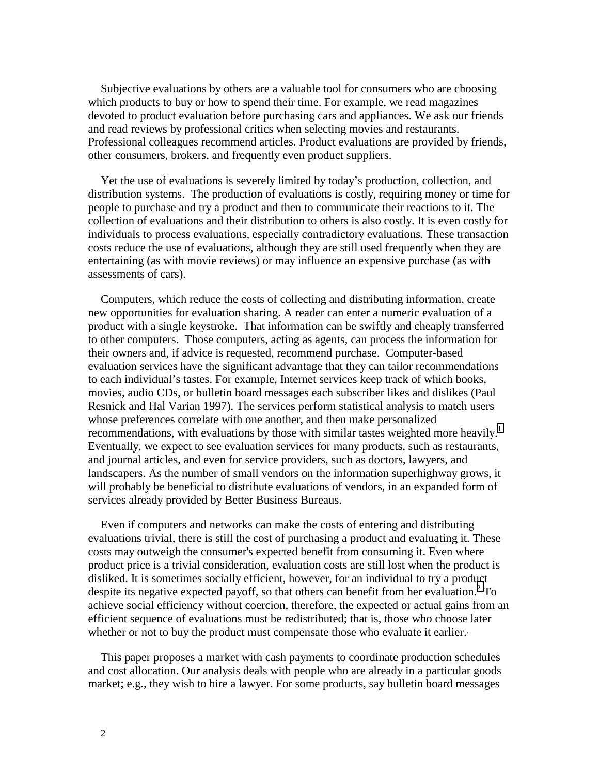Subjective evaluations by others are a valuable tool for consumers who are choosing which products to buy or how to spend their time. For example, we read magazines devoted to product evaluation before purchasing cars and appliances. We ask our friends and read reviews by professional critics when selecting movies and restaurants. Professional colleagues recommend articles. Product evaluations are provided by friends, other consumers, brokers, and frequently even product suppliers.

Yet the use of evaluations is severely limited by today's production, collection, and distribution systems. The production of evaluations is costly, requiring money or time for people to purchase and try a product and then to communicate their reactions to it. The collection of evaluations and their distribution to others is also costly. It is even costly for individuals to process evaluations, especially contradictory evaluations. These transaction costs reduce the use of evaluations, although they are still used frequently when they are entertaining (as with movie reviews) or may influence an expensive purchase (as with assessments of cars).

Computers, which reduce the costs of collecting and distributing information, create new opportunities for evaluation sharing. A reader can enter a numeric evaluation of a product with a single keystroke. That information can be swiftly and cheaply transferred to other computers. Those computers, acting as agents, can process the information for their owners and, if advice is requested, recommend purchase. Computer-based evaluation services have the significant advantage that they can tailor recommendations to each individual's tastes. For example, Internet services keep track of which books, movies, audio CDs, or bulletin board messages each subscriber likes and dislikes (Paul Resnick and Hal Varian 1997). The services perform statistical analysis to match users whose preferences correlate with one another, and then make personalized recommendations, with evaluations by those with similar tastes weighted more heavily.<sup>[1](#page-37-0)</sup> Eventually, we expect to see evaluation services for many products, such as restaurants, and journal articles, and even for service providers, such as doctors, lawyers, and landscapers. As the number of small vendors on the information superhighway grows, it will probably be beneficial to distribute evaluations of vendors, in an expanded form of services already provided by Better Business Bureaus.

Even if computers and networks can make the costs of entering and distributing evaluations trivial, there is still the cost of purchasing a product and evaluating it. These costs may outweigh the consumer's expected benefit from consuming it. Even where product price is a trivial consideration, evaluation costs are still lost when the product is disliked. It is sometimes socially efficient, however, for an individual to try a product despite its negative expected payoff, so that others can benefit from her evaluation.<sup>[2](#page-37-0)</sup> To achieve social efficiency without coercion, therefore, the expected or actual gains from an efficient sequence of evaluations must be redistributed; that is, those who choose later whether or not to buy the product must compensate those who evaluate it earlier.

This paper proposes a market with cash payments to coordinate production schedules and cost allocation. Our analysis deals with people who are already in a particular goods market; e.g., they wish to hire a lawyer. For some products, say bulletin board messages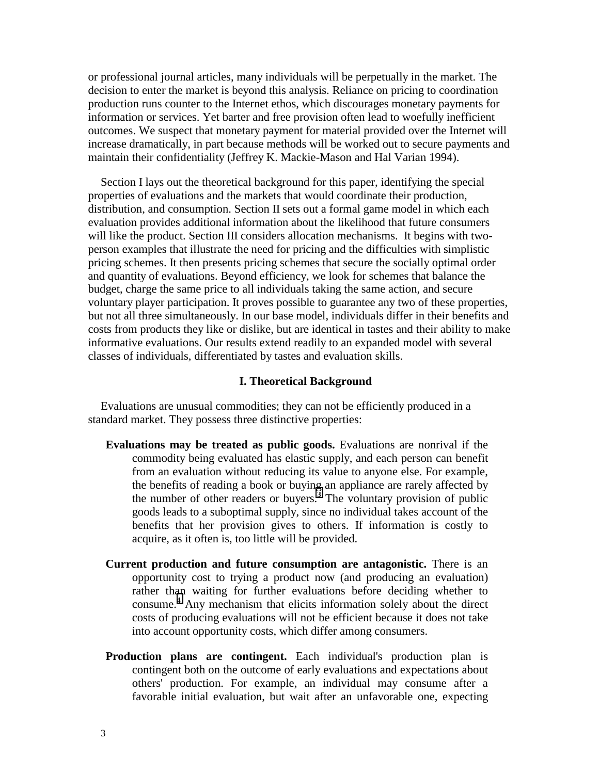or professional journal articles, many individuals will be perpetually in the market. The decision to enter the market is beyond this analysis. Reliance on pricing to coordination production runs counter to the Internet ethos, which discourages monetary payments for information or services. Yet barter and free provision often lead to woefully inefficient outcomes. We suspect that monetary payment for material provided over the Internet will increase dramatically, in part because methods will be worked out to secure payments and maintain their confidentiality (Jeffrey K. Mackie-Mason and Hal Varian 1994).

Section I lays out the theoretical background for this paper, identifying the special properties of evaluations and the markets that would coordinate their production, distribution, and consumption. Section II sets out a formal game model in which each evaluation provides additional information about the likelihood that future consumers will like the product. Section III considers allocation mechanisms. It begins with twoperson examples that illustrate the need for pricing and the difficulties with simplistic pricing schemes. It then presents pricing schemes that secure the socially optimal order and quantity of evaluations. Beyond efficiency, we look for schemes that balance the budget, charge the same price to all individuals taking the same action, and secure voluntary player participation. It proves possible to guarantee any two of these properties, but not all three simultaneously. In our base model, individuals differ in their benefits and costs from products they like or dislike, but are identical in tastes and their ability to make informative evaluations. Our results extend readily to an expanded model with several classes of individuals, differentiated by tastes and evaluation skills.

#### **I. Theoretical Background**

Evaluations are unusual commodities; they can not be efficiently produced in a standard market. They possess three distinctive properties:

- **Evaluations may be treated as public goods.** Evaluations are nonrival if the commodity being evaluated has elastic supply, and each person can benefit from an evaluation without reducing its value to anyone else. For example, the benefits of reading a book or buying an appliance are rarely affected by the number of other readers or buyers.**[3](#page-37-0)** The voluntary provision of public goods leads to a suboptimal supply, since no individual takes account of the benefits that her provision gives to others. If information is costly to acquire, as it often is, too little will be provided.
- **Current production and future consumption are antagonistic.** There is an opportunity cost to trying a product now (and producing an evaluation) rather than waiting for further evaluations before deciding whether to consume.[4](#page-37-0) Any mechanism that elicits information solely about the direct costs of producing evaluations will not be efficient because it does not take into account opportunity costs, which differ among consumers.
- **Production plans are contingent.** Each individual's production plan is contingent both on the outcome of early evaluations and expectations about others' production. For example, an individual may consume after a favorable initial evaluation, but wait after an unfavorable one, expecting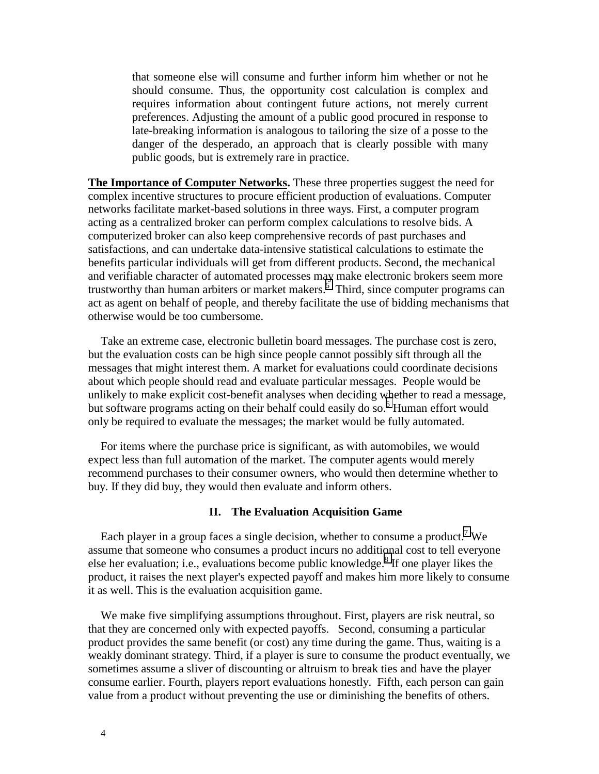that someone else will consume and further inform him whether or not he should consume. Thus, the opportunity cost calculation is complex and requires information about contingent future actions, not merely current preferences. Adjusting the amount of a public good procured in response to late-breaking information is analogous to tailoring the size of a posse to the danger of the desperado, an approach that is clearly possible with many public goods, but is extremely rare in practice.

**The Importance of Computer Networks.** These three properties suggest the need for complex incentive structures to procure efficient production of evaluations. Computer networks facilitate market-based solutions in three ways. First, a computer program acting as a centralized broker can perform complex calculations to resolve bids. A computerized broker can also keep comprehensive records of past purchases and satisfactions, and can undertake data-intensive statistical calculations to estimate the benefits particular individuals will get from different products. Second, the mechanical and verifiable character of automated processes may make electronic brokers seem more trustworthy than human arbiters or market makers.<sup>5</sup> Third, since computer programs can act as agent on behalf of people, and thereby facilitate the use of bidding mechanisms that otherwise would be too cumbersome.

Take an extreme case, electronic bulletin board messages. The purchase cost is zero, but the evaluation costs can be high since people cannot possibly sift through all the messages that might interest them. A market for evaluations could coordinate decisions about which people should read and evaluate particular messages. People would be unlikely to make explicit cost-benefit analyses when deciding whether to read a message, but software programs acting on their behalf could easily do so.<sup>[6](#page-37-0)</sup> Human effort would only be required to evaluate the messages; the market would be fully automated.

For items where the purchase price is significant, as with automobiles, we would expect less than full automation of the market. The computer agents would merely recommend purchases to their consumer owners, who would then determine whether to buy. If they did buy, they would then evaluate and inform others.

#### **II. The Evaluation Acquisition Game**

Each player in a group faces a single decision, whether to consume a product.<sup>7</sup> We assume that someone who consumes a product incurs no additional cost to tell everyone else her evaluation; i.e., evaluations become public knowledge.<sup>8</sup> If one player likes the product, it raises the next player's expected payoff and makes him more likely to consume it as well. This is the evaluation acquisition game.

We make five simplifying assumptions throughout. First, players are risk neutral, so that they are concerned only with expected payoffs. Second, consuming a particular product provides the same benefit (or cost) any time during the game. Thus, waiting is a weakly dominant strategy. Third, if a player is sure to consume the product eventually, we sometimes assume a sliver of discounting or altruism to break ties and have the player consume earlier. Fourth, players report evaluations honestly. Fifth, each person can gain value from a product without preventing the use or diminishing the benefits of others.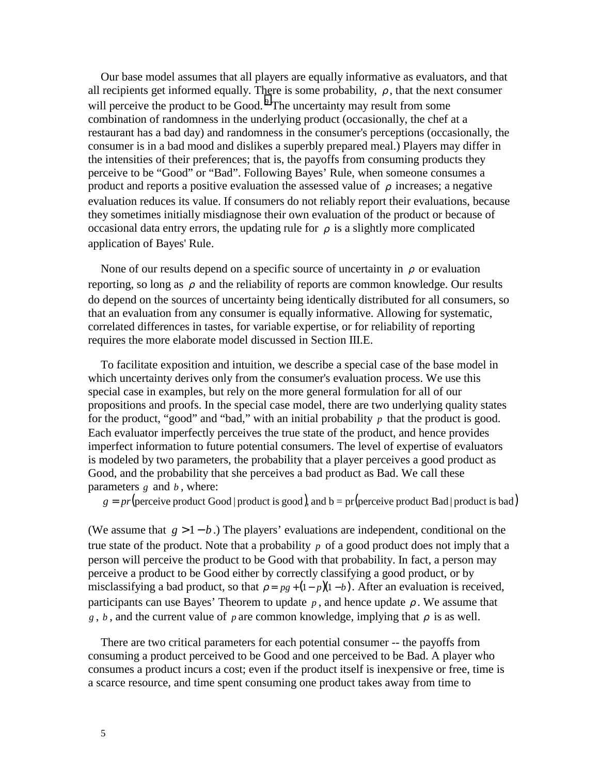Our base model assumes that all players are equally informative as evaluators, and that all recipients get informed equally. There is some probability,  $\rho$ , that the next consumer will perceive the product to be Good.<sup>9</sup> The uncertainty may result from some combination of randomness in the underlying product (occasionally, the chef at a restaurant has a bad day) and randomness in the consumer's perceptions (occasionally, the consumer is in a bad mood and dislikes a superbly prepared meal.) Players may differ in the intensities of their preferences; that is, the payoffs from consuming products they perceive to be "Good" or "Bad". Following Bayes' Rule, when someone consumes a product and reports a positive evaluation the assessed value of  $\rho$  increases; a negative evaluation reduces its value. If consumers do not reliably report their evaluations, because they sometimes initially misdiagnose their own evaluation of the product or because of occasional data entry errors, the updating rule for  $\rho$  is a slightly more complicated application of Bayes' Rule.

None of our results depend on a specific source of uncertainty in  $\rho$  or evaluation reporting, so long as  $\rho$  and the reliability of reports are common knowledge. Our results do depend on the sources of uncertainty being identically distributed for all consumers, so that an evaluation from any consumer is equally informative. Allowing for systematic, correlated differences in tastes, for variable expertise, or for reliability of reporting requires the more elaborate model discussed in Section III.E.

To facilitate exposition and intuition, we describe a special case of the base model in which uncertainty derives only from the consumer's evaluation process. We use this special case in examples, but rely on the more general formulation for all of our propositions and proofs. In the special case model, there are two underlying quality states for the product, "good" and "bad," with an initial probability  $p$  that the product is good. Each evaluator imperfectly perceives the true state of the product, and hence provides imperfect information to future potential consumers. The level of expertise of evaluators is modeled by two parameters, the probability that a player perceives a good product as Good, and the probability that she perceives a bad product as Bad. We call these parameters  $g$  and  $b$ , where:

 $g = pr$ (perceive product Good | product is good), and  $b = pr$ (perceive product Bad | product is bad)

(We assume that  $g > 1 - b$ .) The players' evaluations are independent, conditional on the true state of the product. Note that a probability  $p$  of a good product does not imply that a person will perceive the product to be Good with that probability. In fact, a person may perceive a product to be Good either by correctly classifying a good product, or by misclassifying a bad product, so that  $\rho = pg + (1 - p)(1 - b)$ . After an evaluation is received, participants can use Bayes' Theorem to update  $p$ , and hence update  $\rho$ . We assume that *g*, *b*, and the current value of *p* are common knowledge, implying that  $\rho$  is as well.

There are two critical parameters for each potential consumer -- the payoffs from consuming a product perceived to be Good and one perceived to be Bad. A player who consumes a product incurs a cost; even if the product itself is inexpensive or free, time is a scarce resource, and time spent consuming one product takes away from time to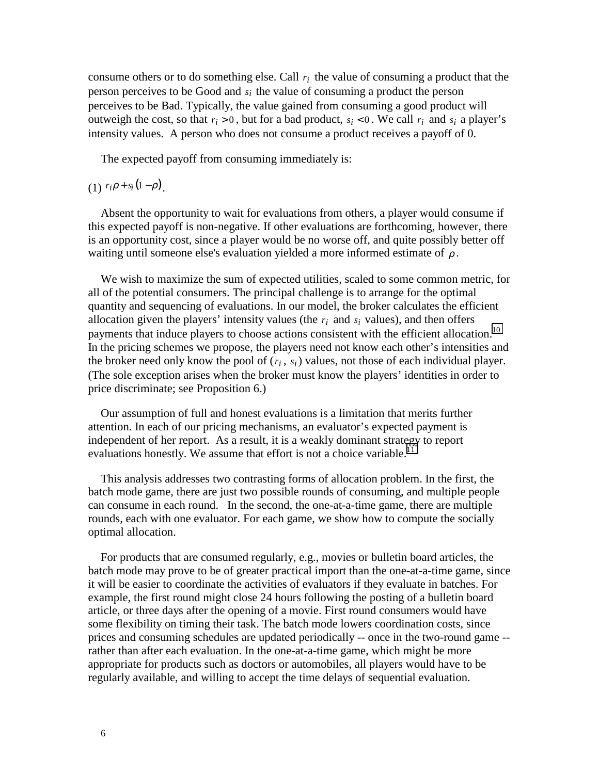consume others or to do something else. Call *ri* the value of consuming a product that the person perceives to be Good and *si* the value of consuming a product the person perceives to be Bad. Typically, the value gained from consuming a good product will outweigh the cost, so that  $r_i > 0$ , but for a bad product,  $s_i < 0$ . We call  $r_i$  and  $s_i$  a player's intensity values. A person who does not consume a product receives a payoff of 0.

The expected payoff from consuming immediately is:

(1)  $r_i \rho + s_i (1 - \rho)$ .

Absent the opportunity to wait for evaluations from others, a player would consume if this expected payoff is non-negative. If other evaluations are forthcoming, however, there is an opportunity cost, since a player would be no worse off, and quite possibly better off waiting until someone else's evaluation yielded a more informed estimate of  $\rho$ .

We wish to maximize the sum of expected utilities, scaled to some common metric, for all of the potential consumers. The principal challenge is to arrange for the optimal quantity and sequencing of evaluations. In our model, the broker calculates the efficient allocation given the players' intensity values (the  $r_i$  and  $s_i$  values), and then offers payments that induce players to choose actions consistent with the efficient allocation.<sup>[10](#page-37-0)</sup> In the pricing schemes we propose, the players need not know each other's intensities and the broker need only know the pool of  $(r_i, s_i)$  values, not those of each individual player. (The sole exception arises when the broker must know the players' identities in order to price discriminate; see Proposition 6.)

Our assumption of full and honest evaluations is a limitation that merits further attention. In each of our pricing mechanisms, an evaluator's expected payment is independent of her report. As a result, it is a weakly dominant strategy to report evaluations honestly. We assume that effort is not a choice variable.<sup>[11](#page-37-0)</sup>

This analysis addresses two contrasting forms of allocation problem. In the first, the batch mode game, there are just two possible rounds of consuming, and multiple people can consume in each round. In the second, the one-at-a-time game, there are multiple rounds, each with one evaluator. For each game, we show how to compute the socially optimal allocation.

For products that are consumed regularly, e.g., movies or bulletin board articles, the batch mode may prove to be of greater practical import than the one-at-a-time game, since it will be easier to coordinate the activities of evaluators if they evaluate in batches. For example, the first round might close 24 hours following the posting of a bulletin board article, or three days after the opening of a movie. First round consumers would have some flexibility on timing their task. The batch mode lowers coordination costs, since prices and consuming schedules are updated periodically -- once in the two-round game - rather than after each evaluation. In the one-at-a-time game, which might be more appropriate for products such as doctors or automobiles, all players would have to be regularly available, and willing to accept the time delays of sequential evaluation.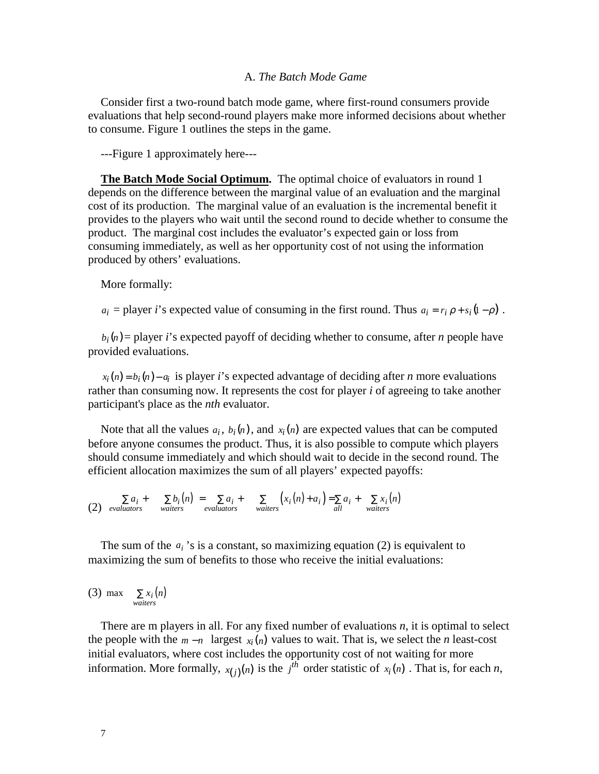#### A. *The Batch Mode Game*

Consider first a two-round batch mode game, where first-round consumers provide evaluations that help second-round players make more informed decisions about whether to consume. Figure 1 outlines the steps in the game.

---Figure 1 approximately here---

**The Batch Mode Social Optimum.** The optimal choice of evaluators in round 1 depends on the difference between the marginal value of an evaluation and the marginal cost of its production. The marginal value of an evaluation is the incremental benefit it provides to the players who wait until the second round to decide whether to consume the product. The marginal cost includes the evaluator's expected gain or loss from consuming immediately, as well as her opportunity cost of not using the information produced by others' evaluations.

More formally:

 $a_i$  = player *i*'s expected value of consuming in the first round. Thus  $a_i = r_i \rho + s_i (1 - \rho)$ .

 $b_i(n)$  = player *i*'s expected payoff of deciding whether to consume, after *n* people have provided evaluations.

 $x_i(n) = b_i(n) - a_i$  is player *i*'s expected advantage of deciding after *n* more evaluations rather than consuming now. It represents the cost for player *i* of agreeing to take another participant's place as the *nth* evaluator.

Note that all the values  $a_i$ ,  $b_i(n)$ , and  $x_i(n)$  are expected values that can be computed before anyone consumes the product. Thus, it is also possible to compute which players should consume immediately and which should wait to decide in the second round. The efficient allocation maximizes the sum of all players' expected payoffs:

(2)  $\sum_{evaluators} a_i + \sum_{waliers} b_i(n) = \sum_{evaluators} a_i + \sum_{waiters} (x_i(n) + a_i) = \sum_{all} a_i + \sum_{waiters} x_i(n)$  $\sum a_i + \sum b_i(n) = \sum a_i + \sum (x_i(n) + a_i) = \sum a_i + \sum$ 

The sum of the *ai* 's is a constant, so maximizing equation (2) is equivalent to maximizing the sum of benefits to those who receive the initial evaluations:

(3) max  $\sum_{waiters} x_i(n)$ 

There are m players in all. For any fixed number of evaluations *n*, it is optimal to select the people with the  $m - n$  largest  $x_i(n)$  values to wait. That is, we select the *n* least-cost initial evaluators, where cost includes the opportunity cost of not waiting for more information. More formally,  $x_{(j)}(n)$  is the  $j<sup>th</sup>$  order statistic of  $x_i(n)$ . That is, for each *n*,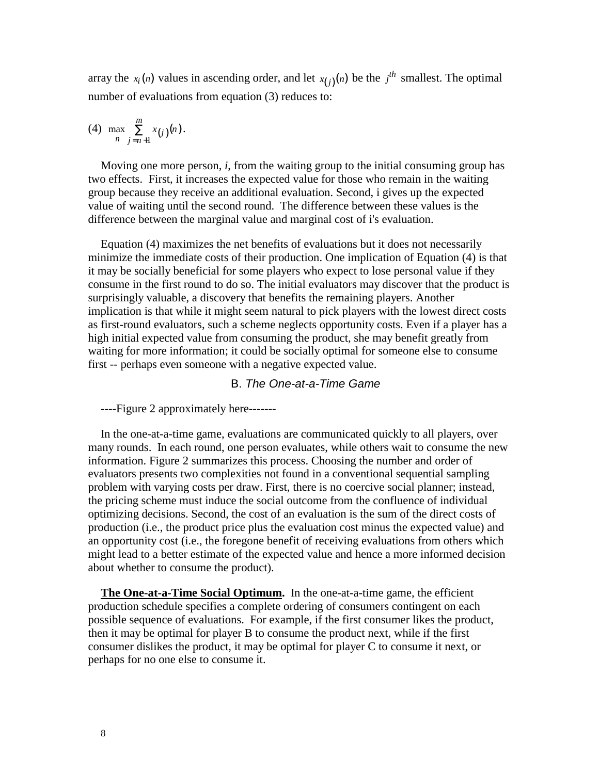array the  $x_i(n)$  values in ascending order, and let  $x_{(j)}(n)$  be the  $j<sup>th</sup>$  smallest. The optimal number of evaluations from equation (3) reduces to:

(4) 
$$
\max_{n} \sum_{j=n+1}^{m} x_{(j)}(n).
$$

Moving one more person, *i*, from the waiting group to the initial consuming group has two effects. First, it increases the expected value for those who remain in the waiting group because they receive an additional evaluation. Second, i gives up the expected value of waiting until the second round. The difference between these values is the difference between the marginal value and marginal cost of i's evaluation.

Equation (4) maximizes the net benefits of evaluations but it does not necessarily minimize the immediate costs of their production. One implication of Equation (4) is that it may be socially beneficial for some players who expect to lose personal value if they consume in the first round to do so. The initial evaluators may discover that the product is surprisingly valuable, a discovery that benefits the remaining players. Another implication is that while it might seem natural to pick players with the lowest direct costs as first-round evaluators, such a scheme neglects opportunity costs. Even if a player has a high initial expected value from consuming the product, she may benefit greatly from waiting for more information; it could be socially optimal for someone else to consume first -- perhaps even someone with a negative expected value.

## B. *The One-at-a-Time Game*

----Figure 2 approximately here-------

In the one-at-a-time game, evaluations are communicated quickly to all players, over many rounds. In each round, one person evaluates, while others wait to consume the new information. Figure 2 summarizes this process. Choosing the number and order of evaluators presents two complexities not found in a conventional sequential sampling problem with varying costs per draw. First, there is no coercive social planner; instead, the pricing scheme must induce the social outcome from the confluence of individual optimizing decisions. Second, the cost of an evaluation is the sum of the direct costs of production (i.e., the product price plus the evaluation cost minus the expected value) and an opportunity cost (i.e., the foregone benefit of receiving evaluations from others which might lead to a better estimate of the expected value and hence a more informed decision about whether to consume the product).

**The One-at-a-Time Social Optimum.** In the one-at-a-time game, the efficient production schedule specifies a complete ordering of consumers contingent on each possible sequence of evaluations. For example, if the first consumer likes the product, then it may be optimal for player B to consume the product next, while if the first consumer dislikes the product, it may be optimal for player C to consume it next, or perhaps for no one else to consume it.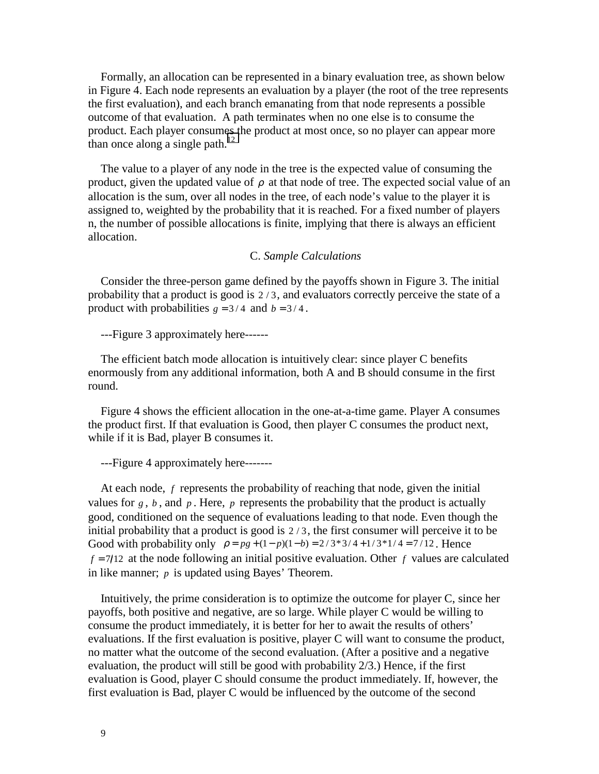Formally, an allocation can be represented in a binary evaluation tree, as shown below in Figure 4. Each node represents an evaluation by a player (the root of the tree represents the first evaluation), and each branch emanating from that node represents a possible outcome of that evaluation. A path terminates when no one else is to consume the product. Each player consumes the product at most once, so no player can appear more than once along a single path.<sup>[12](#page-37-0)</sup>

The value to a player of any node in the tree is the expected value of consuming the product, given the updated value of  $\rho$  at that node of tree. The expected social value of an allocation is the sum, over all nodes in the tree, of each node's value to the player it is assigned to, weighted by the probability that it is reached. For a fixed number of players n, the number of possible allocations is finite, implying that there is always an efficient allocation.

#### C. *Sample Calculations*

Consider the three-person game defined by the payoffs shown in Figure 3. The initial probability that a product is good is 2/3, and evaluators correctly perceive the state of a product with probabilities  $g = 3/4$  and  $b = 3/4$ .

---Figure 3 approximately here------

The efficient batch mode allocation is intuitively clear: since player C benefits enormously from any additional information, both A and B should consume in the first round.

Figure 4 shows the efficient allocation in the one-at-a-time game. Player A consumes the product first. If that evaluation is Good, then player C consumes the product next, while if it is Bad, player B consumes it.

---Figure 4 approximately here-------

At each node, *f* represents the probability of reaching that node, given the initial values for  $g$ ,  $b$ , and  $p$ . Here,  $p$  represents the probability that the product is actually good, conditioned on the sequence of evaluations leading to that node. Even though the initial probability that a product is good is 2/3, the first consumer will perceive it to be Good with probability only  $\rho = pg + (1-p)(1-b) = 2/3*3/4 + 1/3*1/4 = 7/12$ . Hence  $f = 7/12$  at the node following an initial positive evaluation. Other *f* values are calculated in like manner; *p* is updated using Bayes' Theorem.

Intuitively, the prime consideration is to optimize the outcome for player C, since her payoffs, both positive and negative, are so large. While player C would be willing to consume the product immediately, it is better for her to await the results of others' evaluations. If the first evaluation is positive, player C will want to consume the product, no matter what the outcome of the second evaluation. (After a positive and a negative evaluation, the product will still be good with probability 2/3.) Hence, if the first evaluation is Good, player C should consume the product immediately. If, however, the first evaluation is Bad, player C would be influenced by the outcome of the second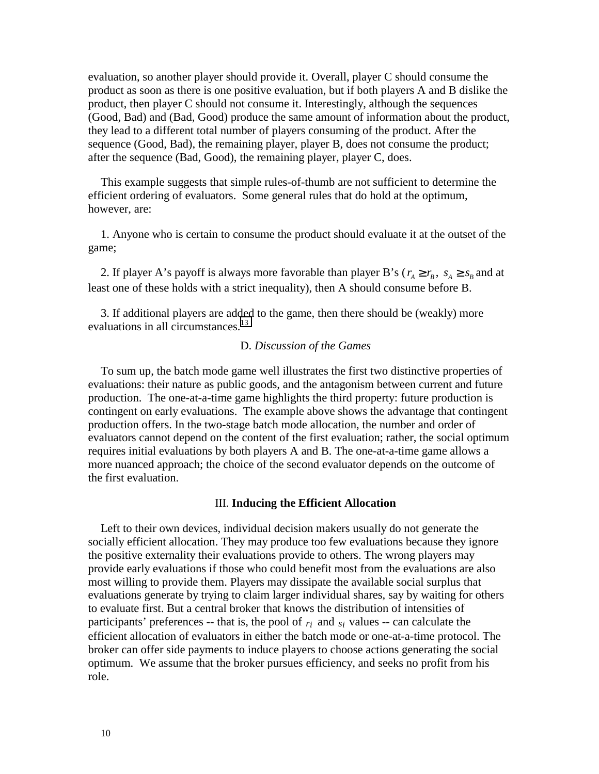evaluation, so another player should provide it. Overall, player C should consume the product as soon as there is one positive evaluation, but if both players A and B dislike the product, then player C should not consume it. Interestingly, although the sequences (Good, Bad) and (Bad, Good) produce the same amount of information about the product, they lead to a different total number of players consuming of the product. After the sequence (Good, Bad), the remaining player, player B, does not consume the product; after the sequence (Bad, Good), the remaining player, player C, does.

This example suggests that simple rules-of-thumb are not sufficient to determine the efficient ordering of evaluators. Some general rules that do hold at the optimum, however, are:

1. Anyone who is certain to consume the product should evaluate it at the outset of the game;

2. If player A's payoff is always more favorable than player B's ( $r_A \ge r_B$ ,  $s_A \ge s_B$  and at least one of these holds with a strict inequality), then A should consume before B.

3. If additional players are added to the game, then there should be (weakly) more evaluations in all circumstances. $^{13}$  $^{13}$  $^{13}$ 

#### D. *Discussion of the Games*

To sum up, the batch mode game well illustrates the first two distinctive properties of evaluations: their nature as public goods, and the antagonism between current and future production. The one-at-a-time game highlights the third property: future production is contingent on early evaluations. The example above shows the advantage that contingent production offers. In the two-stage batch mode allocation, the number and order of evaluators cannot depend on the content of the first evaluation; rather, the social optimum requires initial evaluations by both players A and B. The one-at-a-time game allows a more nuanced approach; the choice of the second evaluator depends on the outcome of the first evaluation.

#### III. **Inducing the Efficient Allocation**

Left to their own devices, individual decision makers usually do not generate the socially efficient allocation. They may produce too few evaluations because they ignore the positive externality their evaluations provide to others. The wrong players may provide early evaluations if those who could benefit most from the evaluations are also most willing to provide them. Players may dissipate the available social surplus that evaluations generate by trying to claim larger individual shares, say by waiting for others to evaluate first. But a central broker that knows the distribution of intensities of participants' preferences -- that is, the pool of *ri* and *si* values -- can calculate the efficient allocation of evaluators in either the batch mode or one-at-a-time protocol. The broker can offer side payments to induce players to choose actions generating the social optimum. We assume that the broker pursues efficiency, and seeks no profit from his role.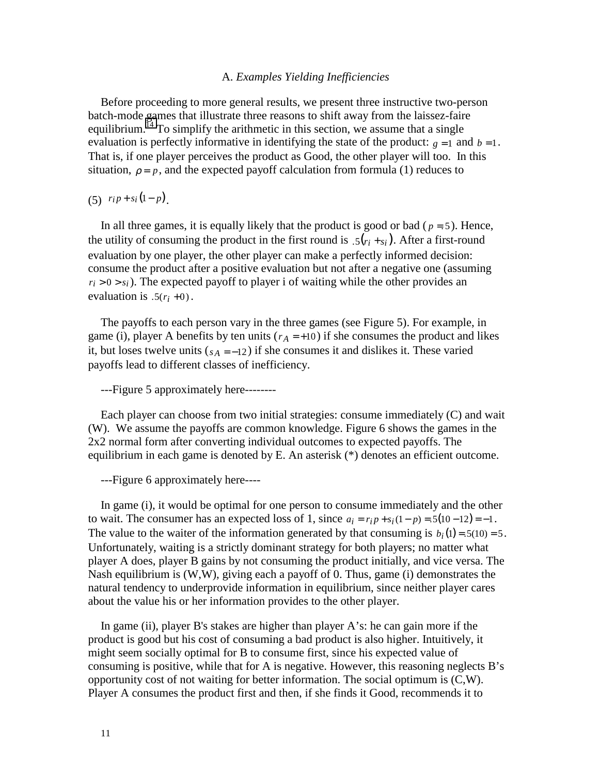#### A. *Examples Yielding Inefficiencies*

Before proceeding to more general results, we present three instructive two-person batch-mode games that illustrate three reasons to shift away from the laissez-faire equilibrium.<sup> $14$ </sup> To simplify the arithmetic in this section, we assume that a single evaluation is perfectly informative in identifying the state of the product:  $g = 1$  and  $b = 1$ . That is, if one player perceives the product as Good, the other player will too. In this situation,  $\rho = p$ , and the expected payoff calculation from formula (1) reduces to

 $(5)$   $rip + si(1-p)$ .

In all three games, it is equally likely that the product is good or bad ( $p = 5$ ). Hence, the utility of consuming the product in the first round is  $.5(r_i + s_i)$ . After a first-round evaluation by one player, the other player can make a perfectly informed decision: consume the product after a positive evaluation but not after a negative one (assuming  $r_i > 0 > s_i$ ). The expected payoff to player i of waiting while the other provides an evaluation is  $.5(r_i + 0)$ .

The payoffs to each person vary in the three games (see Figure 5). For example, in game (i), player A benefits by ten units  $(r_A = +10)$  if she consumes the product and likes it, but loses twelve units  $(s_A = -12)$  if she consumes it and dislikes it. These varied payoffs lead to different classes of inefficiency.

---Figure 5 approximately here--------

Each player can choose from two initial strategies: consume immediately (C) and wait (W). We assume the payoffs are common knowledge. Figure 6 shows the games in the 2x2 normal form after converting individual outcomes to expected payoffs. The equilibrium in each game is denoted by E. An asterisk (\*) denotes an efficient outcome.

---Figure 6 approximately here----

In game (i), it would be optimal for one person to consume immediately and the other to wait. The consumer has an expected loss of 1, since  $a_i = r_i p + s_i (1 - p) = .5(10 - 12) = -1$ . The value to the waiter of the information generated by that consuming is  $b_i(1) = .5(10) = 5$ . Unfortunately, waiting is a strictly dominant strategy for both players; no matter what player A does, player B gains by not consuming the product initially, and vice versa. The Nash equilibrium is  $(W, W)$ , giving each a payoff of 0. Thus, game (i) demonstrates the natural tendency to underprovide information in equilibrium, since neither player cares about the value his or her information provides to the other player.

In game (ii), player B's stakes are higher than player A's: he can gain more if the product is good but his cost of consuming a bad product is also higher. Intuitively, it might seem socially optimal for B to consume first, since his expected value of consuming is positive, while that for A is negative. However, this reasoning neglects B's opportunity cost of not waiting for better information. The social optimum is (C,W). Player A consumes the product first and then, if she finds it Good, recommends it to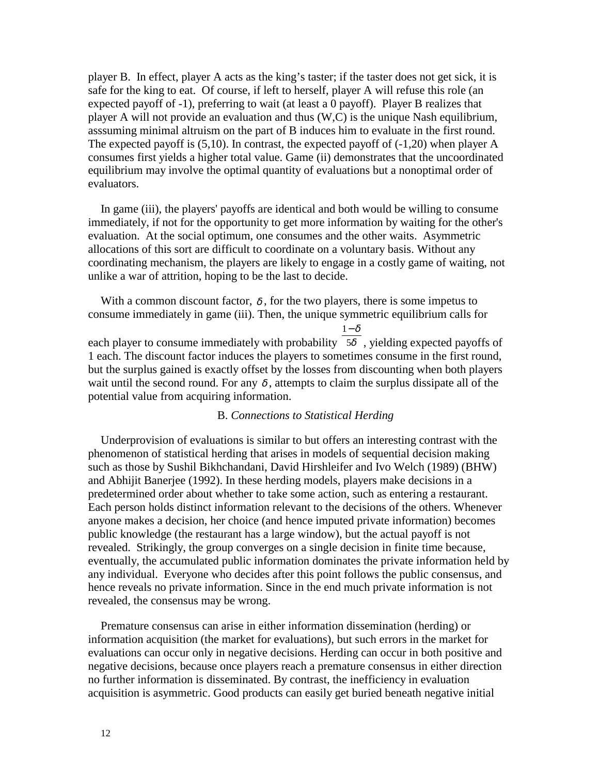player B. In effect, player A acts as the king's taster; if the taster does not get sick, it is safe for the king to eat. Of course, if left to herself, player A will refuse this role (an expected payoff of -1), preferring to wait (at least a 0 payoff). Player B realizes that player A will not provide an evaluation and thus (W,C) is the unique Nash equilibrium, asssuming minimal altruism on the part of B induces him to evaluate in the first round. The expected payoff is  $(5,10)$ . In contrast, the expected payoff of  $(-1,20)$  when player A consumes first yields a higher total value. Game (ii) demonstrates that the uncoordinated equilibrium may involve the optimal quantity of evaluations but a nonoptimal order of evaluators.

In game (iii), the players' payoffs are identical and both would be willing to consume immediately, if not for the opportunity to get more information by waiting for the other's evaluation. At the social optimum, one consumes and the other waits. Asymmetric allocations of this sort are difficult to coordinate on a voluntary basis. Without any coordinating mechanism, the players are likely to engage in a costly game of waiting, not unlike a war of attrition, hoping to be the last to decide.

With a common discount factor,  $\delta$ , for the two players, there is some impetus to consume immediately in game (iii). Then, the unique symmetric equilibrium calls for

each player to consume immediately with probability 58, yielding expected payoffs of  $1-\delta$ 1 each. The discount factor induces the players to sometimes consume in the first round, but the surplus gained is exactly offset by the losses from discounting when both players wait until the second round. For any  $\delta$ , attempts to claim the surplus dissipate all of the potential value from acquiring information.

#### B. *Connections to Statistical Herding*

Underprovision of evaluations is similar to but offers an interesting contrast with the phenomenon of statistical herding that arises in models of sequential decision making such as those by Sushil Bikhchandani, David Hirshleifer and Ivo Welch (1989) (BHW) and Abhijit Banerjee (1992). In these herding models, players make decisions in a predetermined order about whether to take some action, such as entering a restaurant. Each person holds distinct information relevant to the decisions of the others. Whenever anyone makes a decision, her choice (and hence imputed private information) becomes public knowledge (the restaurant has a large window), but the actual payoff is not revealed. Strikingly, the group converges on a single decision in finite time because, eventually, the accumulated public information dominates the private information held by any individual. Everyone who decides after this point follows the public consensus, and hence reveals no private information. Since in the end much private information is not revealed, the consensus may be wrong.

Premature consensus can arise in either information dissemination (herding) or information acquisition (the market for evaluations), but such errors in the market for evaluations can occur only in negative decisions. Herding can occur in both positive and negative decisions, because once players reach a premature consensus in either direction no further information is disseminated. By contrast, the inefficiency in evaluation acquisition is asymmetric. Good products can easily get buried beneath negative initial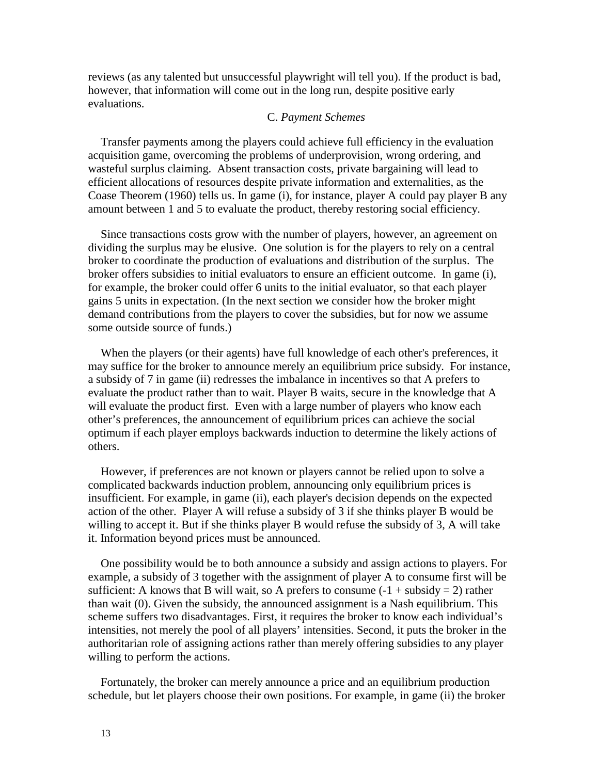reviews (as any talented but unsuccessful playwright will tell you). If the product is bad, however, that information will come out in the long run, despite positive early evaluations.

#### C. *Payment Schemes*

Transfer payments among the players could achieve full efficiency in the evaluation acquisition game, overcoming the problems of underprovision, wrong ordering, and wasteful surplus claiming. Absent transaction costs, private bargaining will lead to efficient allocations of resources despite private information and externalities, as the Coase Theorem (1960) tells us. In game (i), for instance, player A could pay player B any amount between 1 and 5 to evaluate the product, thereby restoring social efficiency.

Since transactions costs grow with the number of players, however, an agreement on dividing the surplus may be elusive. One solution is for the players to rely on a central broker to coordinate the production of evaluations and distribution of the surplus. The broker offers subsidies to initial evaluators to ensure an efficient outcome. In game (i), for example, the broker could offer 6 units to the initial evaluator, so that each player gains 5 units in expectation. (In the next section we consider how the broker might demand contributions from the players to cover the subsidies, but for now we assume some outside source of funds.)

When the players (or their agents) have full knowledge of each other's preferences, it may suffice for the broker to announce merely an equilibrium price subsidy. For instance, a subsidy of 7 in game (ii) redresses the imbalance in incentives so that A prefers to evaluate the product rather than to wait. Player B waits, secure in the knowledge that A will evaluate the product first. Even with a large number of players who know each other's preferences, the announcement of equilibrium prices can achieve the social optimum if each player employs backwards induction to determine the likely actions of others.

However, if preferences are not known or players cannot be relied upon to solve a complicated backwards induction problem, announcing only equilibrium prices is insufficient. For example, in game (ii), each player's decision depends on the expected action of the other. Player A will refuse a subsidy of 3 if she thinks player B would be willing to accept it. But if she thinks player B would refuse the subsidy of 3, A will take it. Information beyond prices must be announced.

One possibility would be to both announce a subsidy and assign actions to players. For example, a subsidy of 3 together with the assignment of player A to consume first will be sufficient: A knows that B will wait, so A prefers to consume  $(-1 +$  subsidy = 2) rather than wait (0). Given the subsidy, the announced assignment is a Nash equilibrium. This scheme suffers two disadvantages. First, it requires the broker to know each individual's intensities, not merely the pool of all players' intensities. Second, it puts the broker in the authoritarian role of assigning actions rather than merely offering subsidies to any player willing to perform the actions.

Fortunately, the broker can merely announce a price and an equilibrium production schedule, but let players choose their own positions. For example, in game (ii) the broker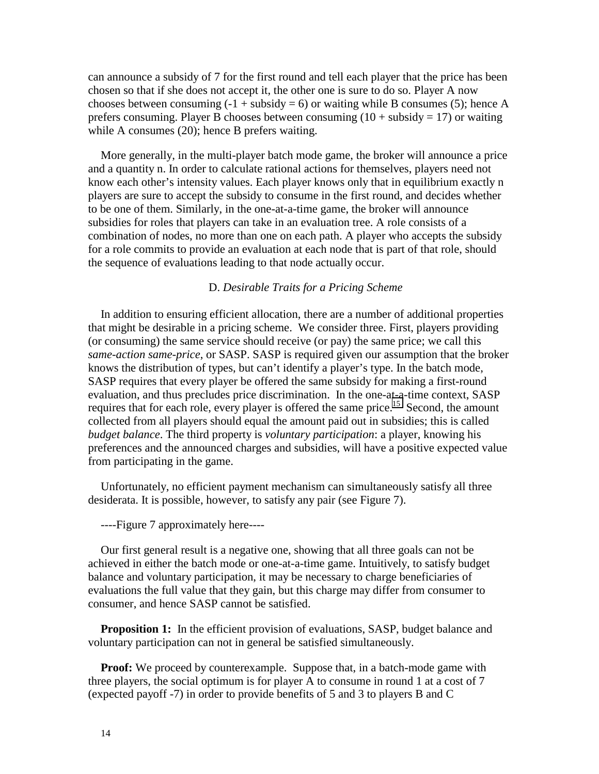can announce a subsidy of 7 for the first round and tell each player that the price has been chosen so that if she does not accept it, the other one is sure to do so. Player A now chooses between consuming  $(-1 +$  subsidy = 6) or waiting while B consumes (5); hence A prefers consuming. Player B chooses between consuming  $(10 + \text{subsidy} = 17)$  or waiting while A consumes (20); hence B prefers waiting.

More generally, in the multi-player batch mode game, the broker will announce a price and a quantity n. In order to calculate rational actions for themselves, players need not know each other's intensity values. Each player knows only that in equilibrium exactly n players are sure to accept the subsidy to consume in the first round, and decides whether to be one of them. Similarly, in the one-at-a-time game, the broker will announce subsidies for roles that players can take in an evaluation tree. A role consists of a combination of nodes, no more than one on each path. A player who accepts the subsidy for a role commits to provide an evaluation at each node that is part of that role, should the sequence of evaluations leading to that node actually occur.

#### D. *Desirable Traits for a Pricing Scheme*

In addition to ensuring efficient allocation, there are a number of additional properties that might be desirable in a pricing scheme. We consider three. First, players providing (or consuming) the same service should receive (or pay) the same price; we call this *same-action same-price*, or SASP. SASP is required given our assumption that the broker knows the distribution of types, but can't identify a player's type. In the batch mode, SASP requires that every player be offered the same subsidy for making a first-round evaluation, and thus precludes price discrimination. In the one-at-a-time context, SASP requires that for each role, every player is offered the same price.<sup>15</sup> Second, the amount collected from all players should equal the amount paid out in subsidies; this is called *budget balance*. The third property is *voluntary participation*: a player, knowing his preferences and the announced charges and subsidies, will have a positive expected value from participating in the game.

Unfortunately, no efficient payment mechanism can simultaneously satisfy all three desiderata. It is possible, however, to satisfy any pair (see Figure 7).

----Figure 7 approximately here----

Our first general result is a negative one, showing that all three goals can not be achieved in either the batch mode or one-at-a-time game. Intuitively, to satisfy budget balance and voluntary participation, it may be necessary to charge beneficiaries of evaluations the full value that they gain, but this charge may differ from consumer to consumer, and hence SASP cannot be satisfied.

**Proposition 1:** In the efficient provision of evaluations, SASP, budget balance and voluntary participation can not in general be satisfied simultaneously.

**Proof:** We proceed by counterexample. Suppose that, in a batch-mode game with three players, the social optimum is for player A to consume in round 1 at a cost of 7 (expected payoff -7) in order to provide benefits of 5 and 3 to players B and C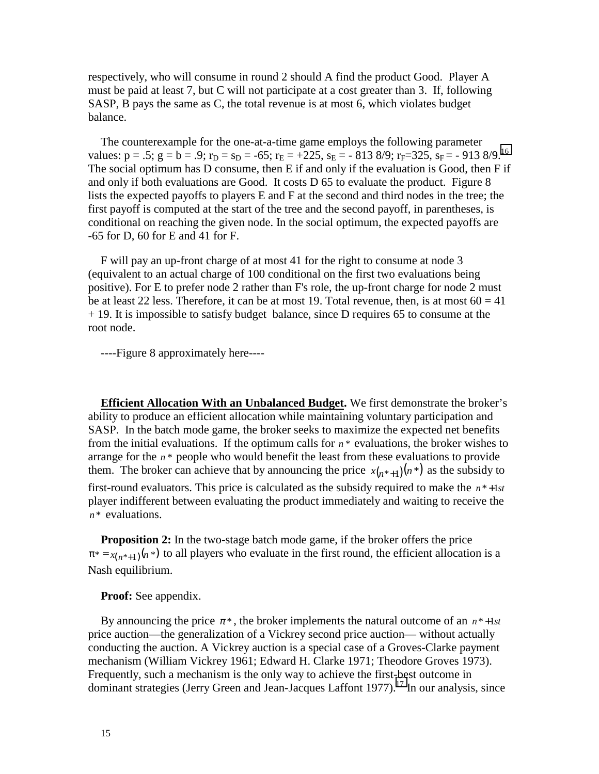respectively, who will consume in round 2 should A find the product Good. Player A must be paid at least 7, but C will not participate at a cost greater than 3. If, following SASP, B pays the same as C, the total revenue is at most 6, which violates budget balance.

The counterexample for the one-at-a-time game employs the following parameter values:  $p = .5$ ;  $g = b = .9$ ;  $r_D = s_D = -65$ ;  $r_E = +225$ ,  $s_E = -81389$ ;  $r_F = -325$ ,  $s_F = -91389$ .<sup>[16](#page-37-0)</sup> The social optimum has D consume, then E if and only if the evaluation is Good, then F if and only if both evaluations are Good. It costs D 65 to evaluate the product. Figure 8 lists the expected payoffs to players E and F at the second and third nodes in the tree; the first payoff is computed at the start of the tree and the second payoff, in parentheses, is conditional on reaching the given node. In the social optimum, the expected payoffs are -65 for D, 60 for E and 41 for F.

F will pay an up-front charge of at most 41 for the right to consume at node 3 (equivalent to an actual charge of 100 conditional on the first two evaluations being positive). For E to prefer node 2 rather than F's role, the up-front charge for node 2 must be at least 22 less. Therefore, it can be at most 19. Total revenue, then, is at most  $60 = 41$ + 19. It is impossible to satisfy budget balance, since D requires 65 to consume at the root node.

----Figure 8 approximately here----

**Efficient Allocation With an Unbalanced Budget.** We first demonstrate the broker's ability to produce an efficient allocation while maintaining voluntary participation and SASP. In the batch mode game, the broker seeks to maximize the expected net benefits from the initial evaluations. If the optimum calls for  $n *$  evaluations, the broker wishes to arrange for the  $n *$  people who would benefit the least from these evaluations to provide them. The broker can achieve that by announcing the price  $x_{(n^*+1)}(n^*)$  as the subsidy to first-round evaluators. This price is calculated as the subsidy required to make the  $n^*+1st$ player indifferent between evaluating the product immediately and waiting to receive the *n* \* evaluations.

**Proposition 2:** In the two-stage batch mode game, if the broker offers the price  $\pi^* = x_{n^*+1}(n^*)$  to all players who evaluate in the first round, the efficient allocation is a Nash equilibrium.

#### **Proof:** See appendix.

By announcing the price  $\pi^*$ , the broker implements the natural outcome of an  $n^*+1st$ price auction—the generalization of a Vickrey second price auction— without actually conducting the auction. A Vickrey auction is a special case of a Groves-Clarke payment mechanism (William Vickrey 1961; Edward H. Clarke 1971; Theodore Groves 1973). Frequently, such a mechanism is the only way to achieve the first-best outcome in dominant strategies (Jerry Green and Jean-Jacques Laffont 1977).<sup>17</sup> In our analysis, since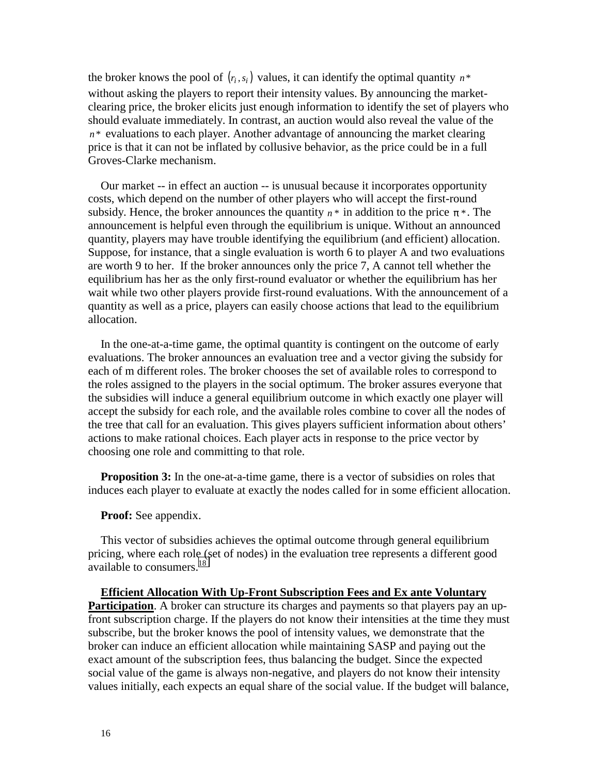the broker knows the pool of  $(r_i, s_i)$  values, it can identify the optimal quantity  $n^*$ without asking the players to report their intensity values. By announcing the marketclearing price, the broker elicits just enough information to identify the set of players who should evaluate immediately. In contrast, an auction would also reveal the value of the  $n^*$  evaluations to each player. Another advantage of announcing the market clearing price is that it can not be inflated by collusive behavior, as the price could be in a full Groves-Clarke mechanism.

Our market -- in effect an auction -- is unusual because it incorporates opportunity costs, which depend on the number of other players who will accept the first-round subsidy. Hence, the broker announces the quantity  $n^*$  in addition to the price  $\pi^*$ . The announcement is helpful even through the equilibrium is unique. Without an announced quantity, players may have trouble identifying the equilibrium (and efficient) allocation. Suppose, for instance, that a single evaluation is worth 6 to player A and two evaluations are worth 9 to her. If the broker announces only the price 7, A cannot tell whether the equilibrium has her as the only first-round evaluator or whether the equilibrium has her wait while two other players provide first-round evaluations. With the announcement of a quantity as well as a price, players can easily choose actions that lead to the equilibrium allocation.

In the one-at-a-time game, the optimal quantity is contingent on the outcome of early evaluations. The broker announces an evaluation tree and a vector giving the subsidy for each of m different roles. The broker chooses the set of available roles to correspond to the roles assigned to the players in the social optimum. The broker assures everyone that the subsidies will induce a general equilibrium outcome in which exactly one player will accept the subsidy for each role, and the available roles combine to cover all the nodes of the tree that call for an evaluation. This gives players sufficient information about others' actions to make rational choices. Each player acts in response to the price vector by choosing one role and committing to that role.

**Proposition 3:** In the one-at-a-time game, there is a vector of subsidies on roles that induces each player to evaluate at exactly the nodes called for in some efficient allocation.

#### **Proof:** See appendix.

This vector of subsidies achieves the optimal outcome through general equilibrium pricing, where each role (set of nodes) in the evaluation tree represents a different good available to consumers.<sup>[18](#page-37-0)</sup>

## **Efficient Allocation With Up-Front Subscription Fees and Ex ante Voluntary**

**Participation**. A broker can structure its charges and payments so that players pay an upfront subscription charge. If the players do not know their intensities at the time they must subscribe, but the broker knows the pool of intensity values, we demonstrate that the broker can induce an efficient allocation while maintaining SASP and paying out the exact amount of the subscription fees, thus balancing the budget. Since the expected social value of the game is always non-negative, and players do not know their intensity values initially, each expects an equal share of the social value. If the budget will balance,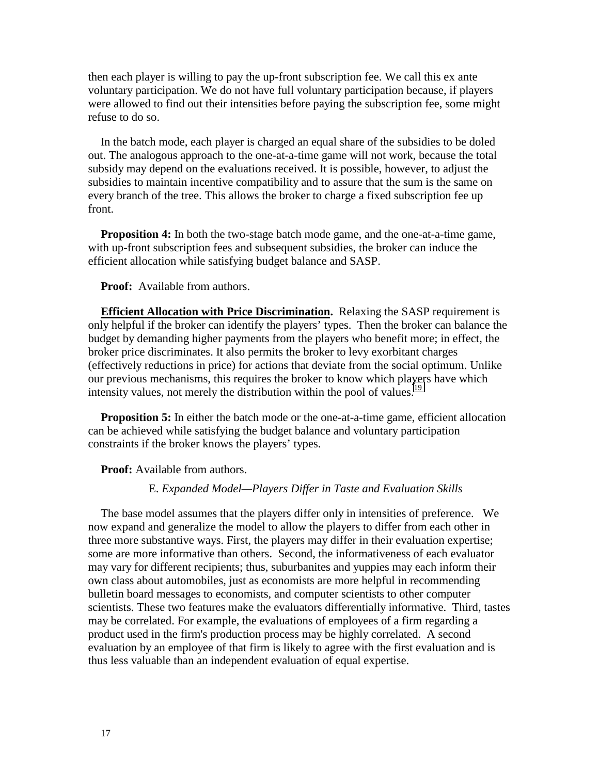then each player is willing to pay the up-front subscription fee. We call this ex ante voluntary participation. We do not have full voluntary participation because, if players were allowed to find out their intensities before paying the subscription fee, some might refuse to do so.

In the batch mode, each player is charged an equal share of the subsidies to be doled out. The analogous approach to the one-at-a-time game will not work, because the total subsidy may depend on the evaluations received. It is possible, however, to adjust the subsidies to maintain incentive compatibility and to assure that the sum is the same on every branch of the tree. This allows the broker to charge a fixed subscription fee up front.

**Proposition 4:** In both the two-stage batch mode game, and the one-at-a-time game, with up-front subscription fees and subsequent subsidies, the broker can induce the efficient allocation while satisfying budget balance and SASP.

**Proof:** Available from authors.

**Efficient Allocation with Price Discrimination.** Relaxing the SASP requirement is only helpful if the broker can identify the players' types. Then the broker can balance the budget by demanding higher payments from the players who benefit more; in effect, the broker price discriminates. It also permits the broker to levy exorbitant charges (effectively reductions in price) for actions that deviate from the social optimum. Unlike our previous mechanisms, this requires the broker to know which players have which intensity values, not merely the distribution within the pool of values.<sup>19</sup>

**Proposition 5:** In either the batch mode or the one-at-a-time game, efficient allocation can be achieved while satisfying the budget balance and voluntary participation constraints if the broker knows the players' types.

**Proof:** Available from authors.

E. *Expanded Model—Players Differ in Taste and Evaluation Skills*

The base model assumes that the players differ only in intensities of preference. We now expand and generalize the model to allow the players to differ from each other in three more substantive ways. First, the players may differ in their evaluation expertise; some are more informative than others. Second, the informativeness of each evaluator may vary for different recipients; thus, suburbanites and yuppies may each inform their own class about automobiles, just as economists are more helpful in recommending bulletin board messages to economists, and computer scientists to other computer scientists. These two features make the evaluators differentially informative. Third, tastes may be correlated. For example, the evaluations of employees of a firm regarding a product used in the firm's production process may be highly correlated. A second evaluation by an employee of that firm is likely to agree with the first evaluation and is thus less valuable than an independent evaluation of equal expertise.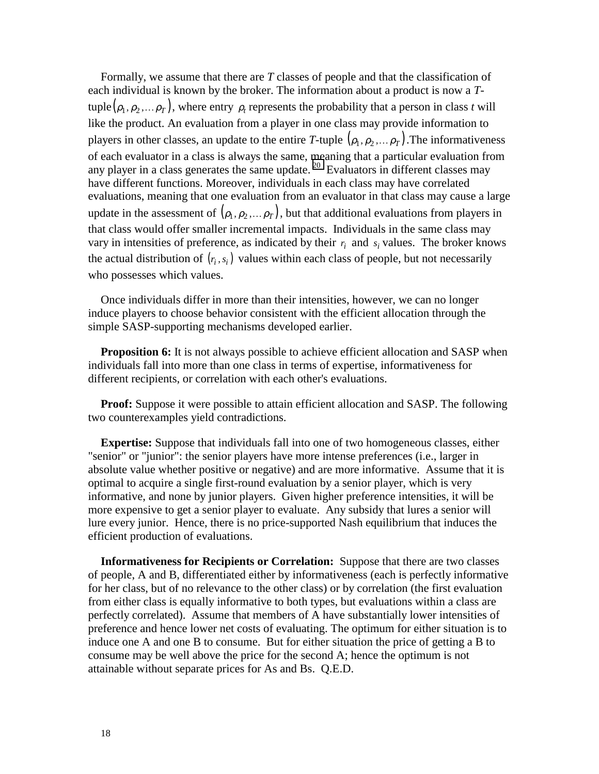Formally, we assume that there are *T* classes of people and that the classification of each individual is known by the broker. The information about a product is now a *T*tuple  $(\rho_1, \rho_2, ..., \rho_T)$ , where entry  $\rho_t$  represents the probability that a person in class *t* will like the product. An evaluation from a player in one class may provide information to players in other classes, an update to the entire *T*-tuple  $(\rho_1, \rho_2, ..., \rho_T)$ . The informativeness of each evaluator in a class is always the same, meaning that a particular evaluation from any player in a class generates the same update.  $20$  Evaluators in different classes may have different functions. Moreover, individuals in each class may have correlated evaluations, meaning that one evaluation from an evaluator in that class may cause a large update in the assessment of  $(\rho_1, \rho_2, ..., \rho_T)$ , but that additional evaluations from players in that class would offer smaller incremental impacts. Individuals in the same class may vary in intensities of preference, as indicated by their  $r_i$  and  $s_i$  values. The broker knows the actual distribution of  $(r_i, s_i)$  values within each class of people, but not necessarily who possesses which values.

Once individuals differ in more than their intensities, however, we can no longer induce players to choose behavior consistent with the efficient allocation through the simple SASP-supporting mechanisms developed earlier.

**Proposition 6:** It is not always possible to achieve efficient allocation and SASP when individuals fall into more than one class in terms of expertise, informativeness for different recipients, or correlation with each other's evaluations.

**Proof:** Suppose it were possible to attain efficient allocation and SASP. The following two counterexamples yield contradictions.

**Expertise:** Suppose that individuals fall into one of two homogeneous classes, either "senior" or "junior": the senior players have more intense preferences (i.e., larger in absolute value whether positive or negative) and are more informative. Assume that it is optimal to acquire a single first-round evaluation by a senior player, which is very informative, and none by junior players. Given higher preference intensities, it will be more expensive to get a senior player to evaluate. Any subsidy that lures a senior will lure every junior. Hence, there is no price-supported Nash equilibrium that induces the efficient production of evaluations.

**Informativeness for Recipients or Correlation:** Suppose that there are two classes of people, A and B, differentiated either by informativeness (each is perfectly informative for her class, but of no relevance to the other class) or by correlation (the first evaluation from either class is equally informative to both types, but evaluations within a class are perfectly correlated). Assume that members of A have substantially lower intensities of preference and hence lower net costs of evaluating. The optimum for either situation is to induce one A and one B to consume. But for either situation the price of getting a B to consume may be well above the price for the second A; hence the optimum is not attainable without separate prices for As and Bs. Q.E.D.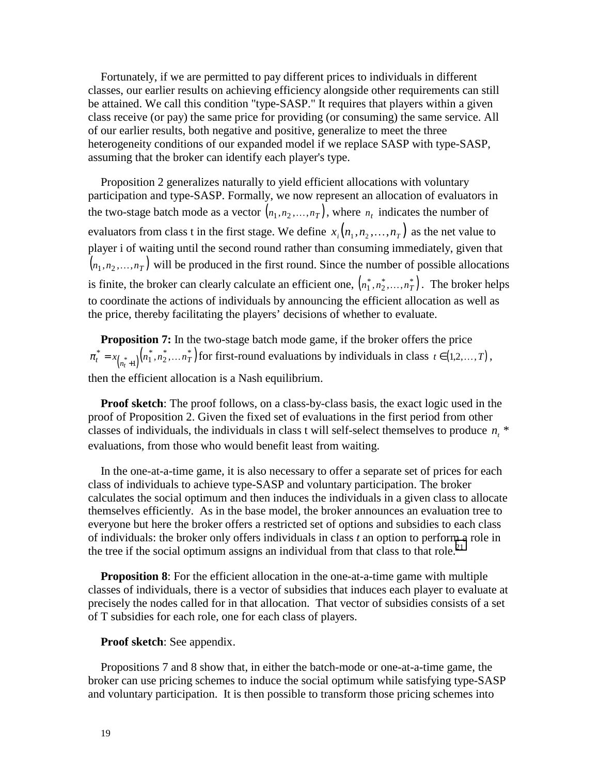Fortunately, if we are permitted to pay different prices to individuals in different classes, our earlier results on achieving efficiency alongside other requirements can still be attained. We call this condition "type-SASP." It requires that players within a given class receive (or pay) the same price for providing (or consuming) the same service. All of our earlier results, both negative and positive, generalize to meet the three heterogeneity conditions of our expanded model if we replace SASP with type-SASP, assuming that the broker can identify each player's type.

Proposition 2 generalizes naturally to yield efficient allocations with voluntary participation and type-SASP. Formally, we now represent an allocation of evaluators in the two-stage batch mode as a vector  $(n_1, n_2, ..., n_T)$ , where  $n_t$  indicates the number of evaluators from class t in the first stage. We define  $x_i(n_1, n_2, \ldots, n_T)$  as the net value to player i of waiting until the second round rather than consuming immediately, given that  $(n_1, n_2, \ldots, n_T)$  will be produced in the first round. Since the number of possible allocations is finite, the broker can clearly calculate an efficient one,  $\left( n_1^*, n_2^*, \ldots, n_T^* \right)$ . The broker helps to coordinate the actions of individuals by announcing the efficient allocation as well as the price, thereby facilitating the players' decisions of whether to evaluate.

**Proposition 7:** In the two-stage batch mode game, if the broker offers the price  $\pi_t^* = x_{n_t+1} \left( n_1^*, n_2^*, \ldots, n_T^* \right)$  for first-round evaluations by individuals in class  $t \in (1, 2, \ldots, T)$ , then the efficient allocation is a Nash equilibrium.

**Proof sketch**: The proof follows, on a class-by-class basis, the exact logic used in the proof of Proposition 2. Given the fixed set of evaluations in the first period from other classes of individuals, the individuals in class t will self-select themselves to produce  $n<sub>r</sub>$  \* evaluations, from those who would benefit least from waiting.

In the one-at-a-time game, it is also necessary to offer a separate set of prices for each class of individuals to achieve type-SASP and voluntary participation. The broker calculates the social optimum and then induces the individuals in a given class to allocate themselves efficiently. As in the base model, the broker announces an evaluation tree to everyone but here the broker offers a restricted set of options and subsidies to each class of individuals: the broker only offers individuals in class *t* an option to perform a role in the tree if the social optimum assigns an individual from that class to that role.<sup>21</sup>

**Proposition 8:** For the efficient allocation in the one-at-a-time game with multiple classes of individuals, there is a vector of subsidies that induces each player to evaluate at precisely the nodes called for in that allocation. That vector of subsidies consists of a set of T subsidies for each role, one for each class of players.

#### **Proof sketch**: See appendix.

Propositions 7 and 8 show that, in either the batch-mode or one-at-a-time game, the broker can use pricing schemes to induce the social optimum while satisfying type-SASP and voluntary participation. It is then possible to transform those pricing schemes into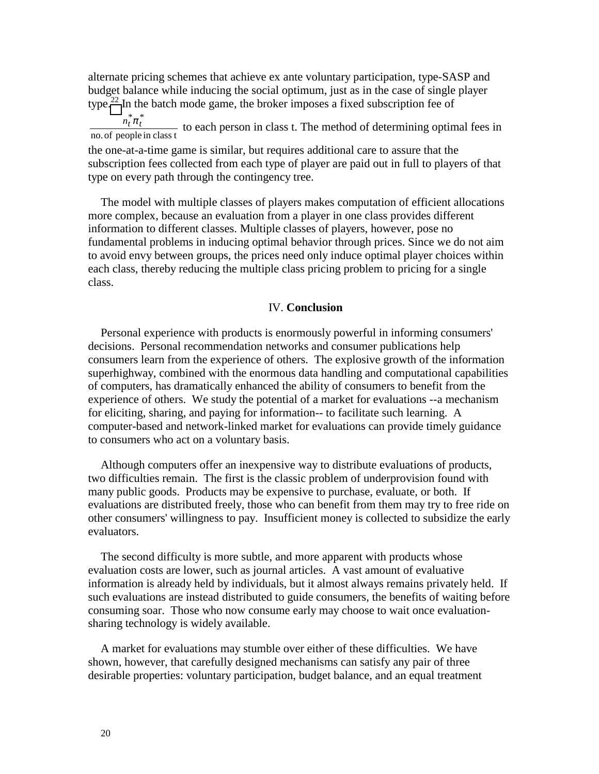alternate pricing schemes that achieve ex ante voluntary participation, type-SASP and budget balance while inducing the social optimum, just as in the case of single player type[.](#page-37-0)<sup>22</sup>In the batch mode game, the broker imposes a fixed subscription fee of

 $\frac{n_t^* \pi_t^*}{n_0 \cdot \text{of people in class t}}$  to each person in class t. The method of determining optimal fees in

the one-at-a-time game is similar, but requires additional care to assure that the subscription fees collected from each type of player are paid out in full to players of that type on every path through the contingency tree.

The model with multiple classes of players makes computation of efficient allocations more complex, because an evaluation from a player in one class provides different information to different classes. Multiple classes of players, however, pose no fundamental problems in inducing optimal behavior through prices. Since we do not aim to avoid envy between groups, the prices need only induce optimal player choices within each class, thereby reducing the multiple class pricing problem to pricing for a single class.

#### IV. **Conclusion**

Personal experience with products is enormously powerful in informing consumers' decisions. Personal recommendation networks and consumer publications help consumers learn from the experience of others. The explosive growth of the information superhighway, combined with the enormous data handling and computational capabilities of computers, has dramatically enhanced the ability of consumers to benefit from the experience of others. We study the potential of a market for evaluations --a mechanism for eliciting, sharing, and paying for information-- to facilitate such learning. A computer-based and network-linked market for evaluations can provide timely guidance to consumers who act on a voluntary basis.

Although computers offer an inexpensive way to distribute evaluations of products, two difficulties remain. The first is the classic problem of underprovision found with many public goods. Products may be expensive to purchase, evaluate, or both. If evaluations are distributed freely, those who can benefit from them may try to free ride on other consumers' willingness to pay. Insufficient money is collected to subsidize the early evaluators.

The second difficulty is more subtle, and more apparent with products whose evaluation costs are lower, such as journal articles. A vast amount of evaluative information is already held by individuals, but it almost always remains privately held. If such evaluations are instead distributed to guide consumers, the benefits of waiting before consuming soar. Those who now consume early may choose to wait once evaluationsharing technology is widely available.

A market for evaluations may stumble over either of these difficulties. We have shown, however, that carefully designed mechanisms can satisfy any pair of three desirable properties: voluntary participation, budget balance, and an equal treatment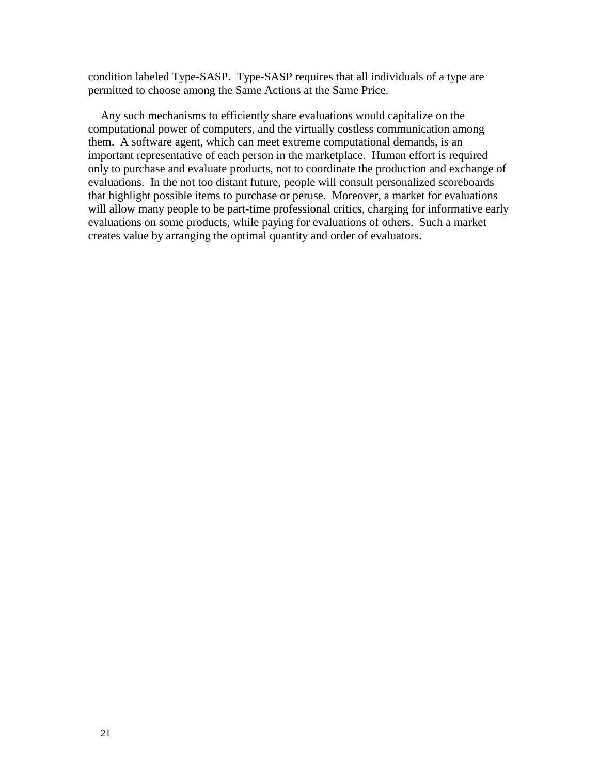condition labeled Type-SASP. Type-SASP requires that all individuals of a type are permitted to choose among the Same Actions at the Same Price.

Any such mechanisms to efficiently share evaluations would capitalize on the computational power of computers, and the virtually costless communication among them. A software agent, which can meet extreme computational demands, is an important representative of each person in the marketplace. Human effort is required only to purchase and evaluate products, not to coordinate the production and exchange of evaluations. In the not too distant future, people will consult personalized scoreboards that highlight possible items to purchase or peruse. Moreover, a market for evaluations will allow many people to be part-time professional critics, charging for informative early evaluations on some products, while paying for evaluations of others. Such a market creates value by arranging the optimal quantity and order of evaluators.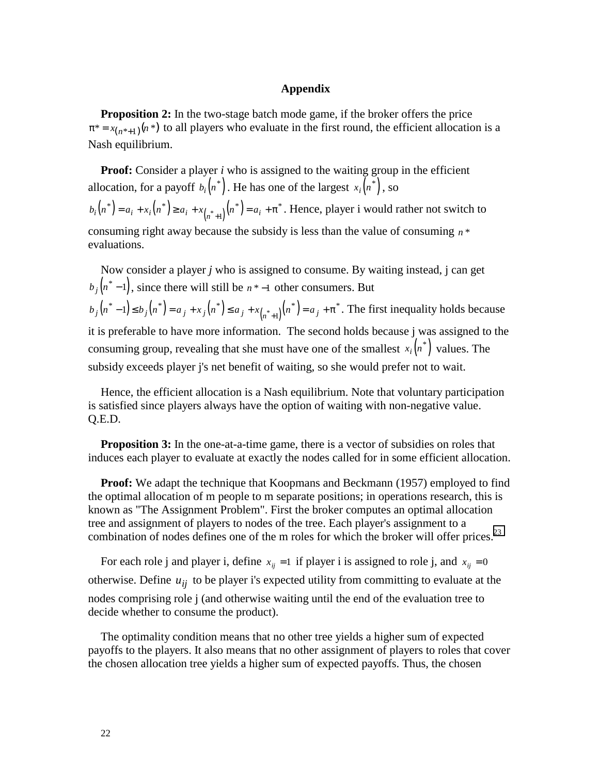#### **Appendix**

**Proposition 2:** In the two-stage batch mode game, if the broker offers the price  $\pi^* = x_{n^*+1}(n^*)$  to all players who evaluate in the first round, the efficient allocation is a Nash equilibrium.

**Proof:** Consider a player *i* who is assigned to the waiting group in the efficient allocation, for a payoff  $b_i(n^*)$ . He has one of the largest  $x_i(n^*)$ , so  $b_i(n^*) = a_i + x_i(n^*) \ge a_i + x_{n^*+1}(n^*) = a_i + \pi^*$ . Hence, player i would rather not switch to consuming right away because the subsidy is less than the value of consuming *n* \* evaluations.

Now consider a player *j* who is assigned to consume. By waiting instead, j can get  $b_j(n^*-1)$ , since there will still be  $n^*-1$  other consumers. But  $b_j(n^*-1) \le b_j(n^*) = a_j + x_j(n^*) \le a_j + x_{n^*+1}(n^*) = a_j + \pi^*$ . The first inequality holds because it is preferable to have more information. The second holds because j was assigned to the consuming group, revealing that she must have one of the smallest  $x_i(n^*)$  values. The subsidy exceeds player j's net benefit of waiting, so she would prefer not to wait.

Hence, the efficient allocation is a Nash equilibrium. Note that voluntary participation is satisfied since players always have the option of waiting with non-negative value. Q.E.D.

**Proposition 3:** In the one-at-a-time game, there is a vector of subsidies on roles that induces each player to evaluate at exactly the nodes called for in some efficient allocation.

**Proof:** We adapt the technique that Koopmans and Beckmann (1957) employed to find the optimal allocation of m people to m separate positions; in operations research, this is known as "The Assignment Problem". First the broker computes an optimal allocation tree and assignment of players to nodes of the tree. Each player's assignment to a combination of nodes defines one of the m roles for which the broker will offer prices.<sup>[23](#page-37-0)</sup>

For each role j and player i, define  $x_{ij} = 1$  if player i is assigned to role j, and  $x_{ij} = 0$ otherwise. Define  $u_{ij}$  to be player i's expected utility from committing to evaluate at the nodes comprising role j (and otherwise waiting until the end of the evaluation tree to decide whether to consume the product).

The optimality condition means that no other tree yields a higher sum of expected payoffs to the players. It also means that no other assignment of players to roles that cover the chosen allocation tree yields a higher sum of expected payoffs. Thus, the chosen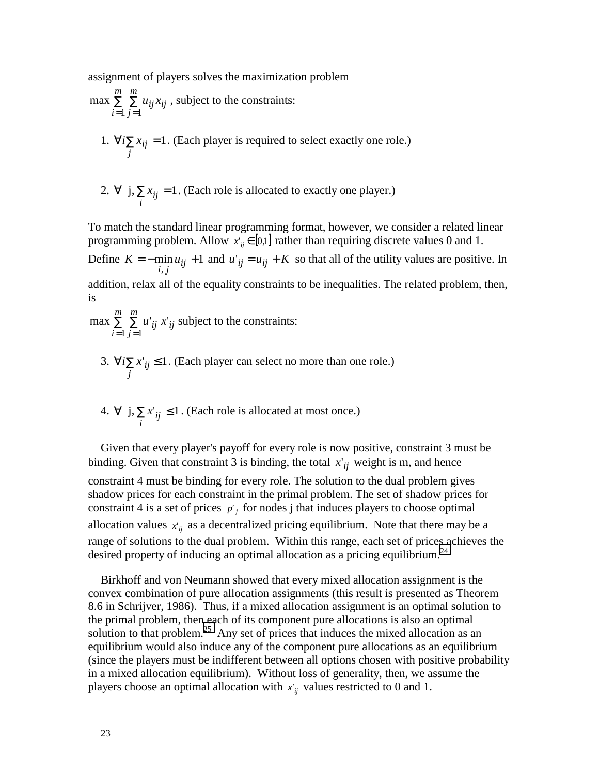assignment of players solves the maximization problem

max 
$$
\sum_{i=1}^{m} \sum_{j=1}^{m} u_{ij} x_{ij}
$$
, subject to the constraints:

1.  $\forall i \sum x_{ij} = 1$ *j*  $i\sum x_{ij} = 1$ . (Each player is required to select exactly one role.)

2. 
$$
\forall
$$
 j,  $\sum_{i} x_{ij} = 1$ . (Each role is allocated to exactly one player.)

To match the standard linear programming format, however, we consider a related linear programming problem. Allow  $x'_{ii} \in [0,1]$  rather than requiring discrete values 0 and 1.

Define  $K = -\min u_{ii} + 1$  $K = -\min_{i,j} u_{ij} + 1$  and  $u'_{ij} = u_{ij} + K$  so that all of the utility values are positive. In addition, relax all of the equality constraints to be inequalities. The related problem, then, is

∑ ∑  $= 1 j =$ *m i m j*  $u'_{ij}$   $x'_{ij}$  $1 j=1$ max  $\sum \sum u'_{ii} x'_{ii}$  subject to the constraints:

3.  $\forall i \sum x'_{ij} \leq 1$ *j*  $i\sum x'_{ij} \leq 1$ . (Each player can select no more than one role.)

4. 
$$
\forall
$$
 j,  $\sum_{i} x'_{ij} \le 1$ . (Each role is allocated at most once.)

Given that every player's payoff for every role is now positive, constraint 3 must be binding. Given that constraint 3 is binding, the total  $x'_{ij}$  weight is m, and hence constraint 4 must be binding for every role. The solution to the dual problem gives shadow prices for each constraint in the primal problem. The set of shadow prices for constraint 4 is a set of prices  $p'$  for nodes j that induces players to choose optimal allocation values  $x'_{ij}$  as a decentralized pricing equilibrium. Note that there may be a range of solutions to the dual problem. Within this range, each set of prices achieves the desired property of inducing an optimal allocation as a pricing equilibrium.<sup>24</sup>

Birkhoff and von Neumann showed that every mixed allocation assignment is the convex combination of pure allocation assignments (this result is presented as Theorem 8.6 in Schrijver, 1986). Thus, if a mixed allocation assignment is an optimal solution to the primal problem, then each of its component pure allocations is also an optimal solution to that problem.<sup>25</sup> Any set of prices that induces the mixed allocation as an equilibrium would also induce any of the component pure allocations as an equilibrium (since the players must be indifferent between all options chosen with positive probability in a mixed allocation equilibrium). Without loss of generality, then, we assume the players choose an optimal allocation with  $x'_{ij}$  values restricted to 0 and 1.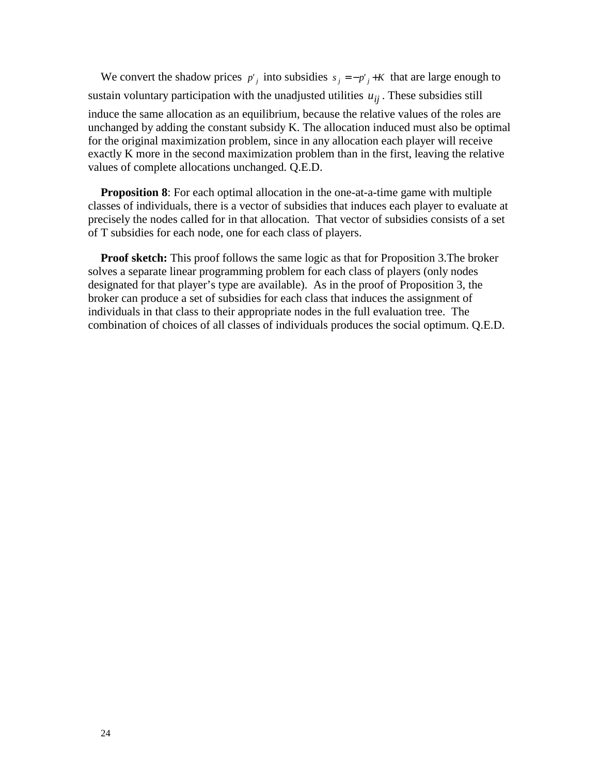We convert the shadow prices  $p'$  into subsidies  $s_j = -p' + K$  that are large enough to sustain voluntary participation with the unadjusted utilities  $u_{ij}$ . These subsidies still induce the same allocation as an equilibrium, because the relative values of the roles are unchanged by adding the constant subsidy K. The allocation induced must also be optimal for the original maximization problem, since in any allocation each player will receive exactly K more in the second maximization problem than in the first, leaving the relative values of complete allocations unchanged. Q.E.D.

**Proposition 8**: For each optimal allocation in the one-at-a-time game with multiple classes of individuals, there is a vector of subsidies that induces each player to evaluate at precisely the nodes called for in that allocation. That vector of subsidies consists of a set of T subsidies for each node, one for each class of players.

**Proof sketch:** This proof follows the same logic as that for Proposition 3.The broker solves a separate linear programming problem for each class of players (only nodes designated for that player's type are available). As in the proof of Proposition 3, the broker can produce a set of subsidies for each class that induces the assignment of individuals in that class to their appropriate nodes in the full evaluation tree. The combination of choices of all classes of individuals produces the social optimum. Q.E.D.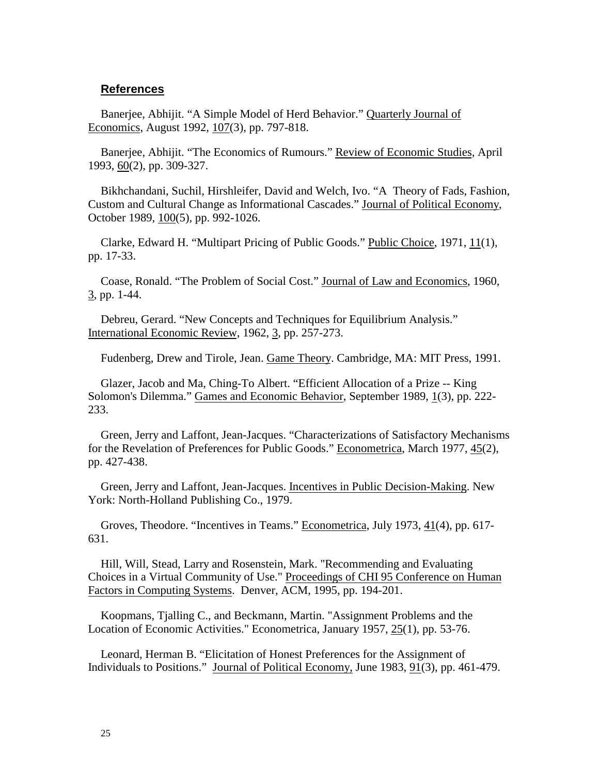#### **References**

Banerjee, Abhijit. "A Simple Model of Herd Behavior." Quarterly Journal of Economics, August 1992, 107(3), pp. 797-818.

Banerjee, Abhijit. "The Economics of Rumours." Review of Economic Studies, April 1993, 60(2), pp. 309-327.

Bikhchandani, Suchil, Hirshleifer, David and Welch, Ivo. "A Theory of Fads, Fashion, Custom and Cultural Change as Informational Cascades." Journal of Political Economy, October 1989, 100(5), pp. 992-1026.

Clarke, Edward H. "Multipart Pricing of Public Goods." Public Choice, 1971, 11(1), pp. 17-33.

Coase, Ronald. "The Problem of Social Cost." Journal of Law and Economics, 1960, 3, pp. 1-44.

Debreu, Gerard. "New Concepts and Techniques for Equilibrium Analysis." International Economic Review, 1962, 3, pp. 257-273.

Fudenberg, Drew and Tirole, Jean. Game Theory. Cambridge, MA: MIT Press, 1991.

Glazer, Jacob and Ma, Ching-To Albert. "Efficient Allocation of a Prize -- King Solomon's Dilemma." Games and Economic Behavior, September 1989, 1(3), pp. 222- 233.

Green, Jerry and Laffont, Jean-Jacques. "Characterizations of Satisfactory Mechanisms for the Revelation of Preferences for Public Goods." Econometrica, March 1977, 45(2), pp. 427-438.

Green, Jerry and Laffont, Jean-Jacques. Incentives in Public Decision-Making. New York: North-Holland Publishing Co., 1979.

Groves, Theodore. "Incentives in Teams." Econometrica, July 1973, 41(4), pp. 617-631.

Hill, Will, Stead, Larry and Rosenstein, Mark. "Recommending and Evaluating Choices in a Virtual Community of Use." Proceedings of CHI 95 Conference on Human Factors in Computing Systems. Denver, ACM, 1995, pp. 194-201.

Koopmans, Tjalling C., and Beckmann, Martin. "Assignment Problems and the Location of Economic Activities." Econometrica, January 1957, 25(1), pp. 53-76.

Leonard, Herman B. "Elicitation of Honest Preferences for the Assignment of Individuals to Positions." Journal of Political Economy, June 1983, 91(3), pp. 461-479.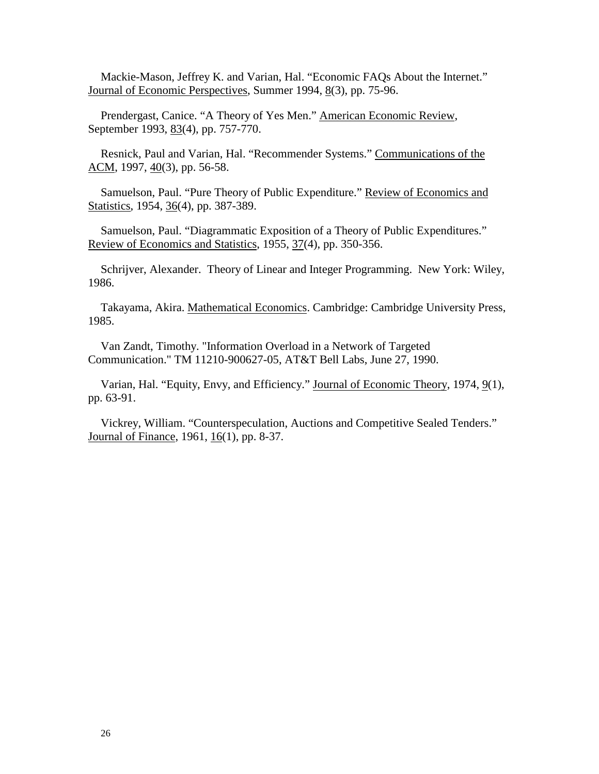Mackie-Mason, Jeffrey K. and Varian, Hal. "Economic FAQs About the Internet." Journal of Economic Perspectives, Summer 1994, 8(3), pp. 75-96.

Prendergast, Canice. "A Theory of Yes Men." American Economic Review, September 1993, 83(4), pp. 757-770.

Resnick, Paul and Varian, Hal. "Recommender Systems." Communications of the ACM, 1997, 40(3), pp. 56-58.

Samuelson, Paul. "Pure Theory of Public Expenditure." Review of Economics and Statistics, 1954, 36(4), pp. 387-389.

Samuelson, Paul. "Diagrammatic Exposition of a Theory of Public Expenditures." Review of Economics and Statistics, 1955, 37(4), pp. 350-356.

Schrijver, Alexander. Theory of Linear and Integer Programming. New York: Wiley, 1986.

Takayama, Akira. Mathematical Economics. Cambridge: Cambridge University Press, 1985.

Van Zandt, Timothy. "Information Overload in a Network of Targeted Communication." TM 11210-900627-05, AT&T Bell Labs, June 27, 1990.

Varian, Hal. "Equity, Envy, and Efficiency." Journal of Economic Theory, 1974, 9(1), pp. 63-91.

Vickrey, William. "Counterspeculation, Auctions and Competitive Sealed Tenders." Journal of Finance, 1961, 16(1), pp. 8-37.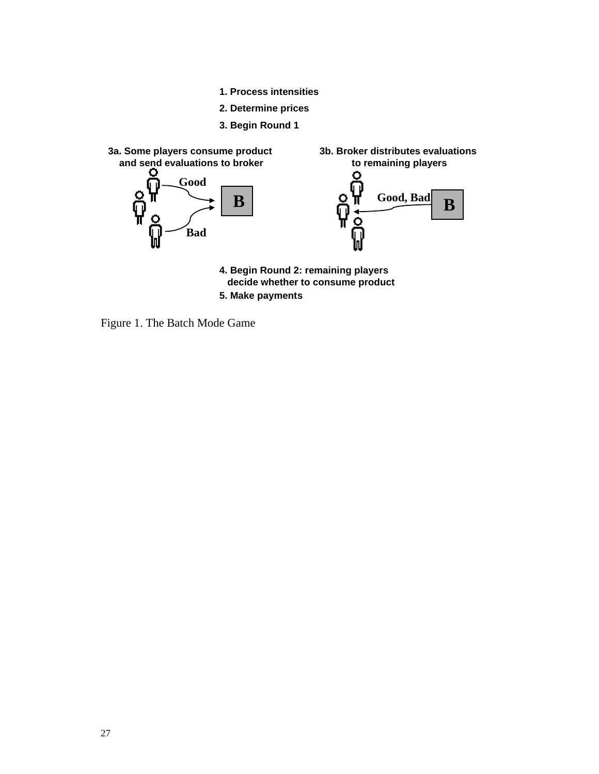- **1. Process intensities**
- **2. Determine prices**
- **3. Begin Round 1**



**5. Make payments**

Figure 1. The Batch Mode Game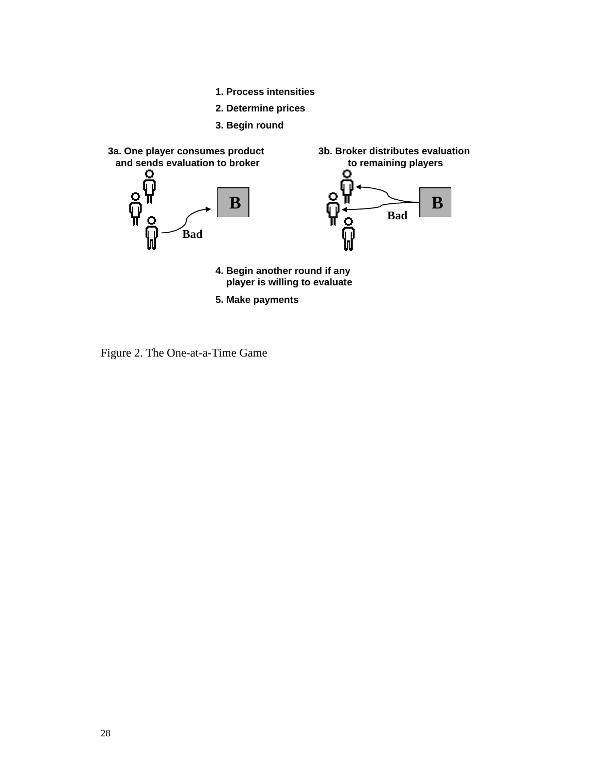- **1. Process intensities**
- **2. Determine prices**
- **3. Begin round**



Figure 2. The One-at-a-Time Game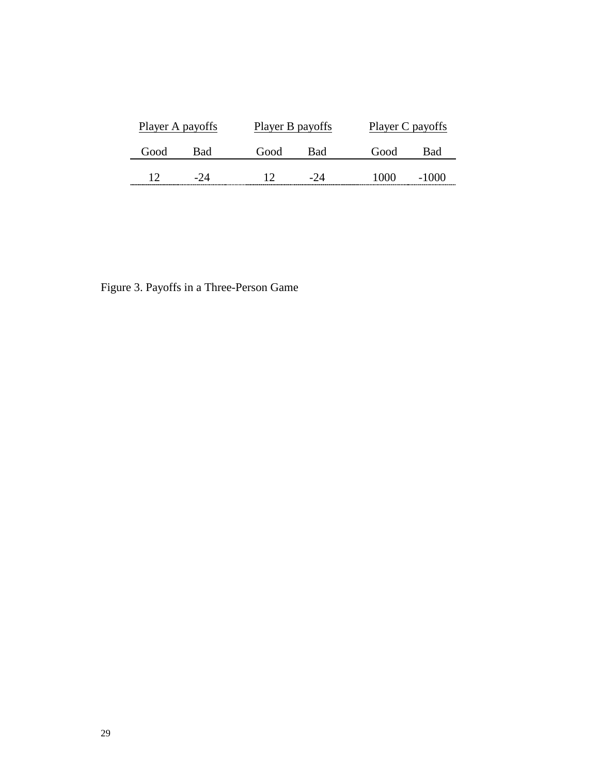| Player A payoffs |       | Player B payoffs |            |       | Player C payoffs |  |
|------------------|-------|------------------|------------|-------|------------------|--|
| Good             | Bad   | Good             | <b>Bad</b> | Good  | Bad              |  |
| 12               | $-24$ | 12               | $-24$      | -1000 | -1000            |  |

Figure 3. Payoffs in a Three-Person Game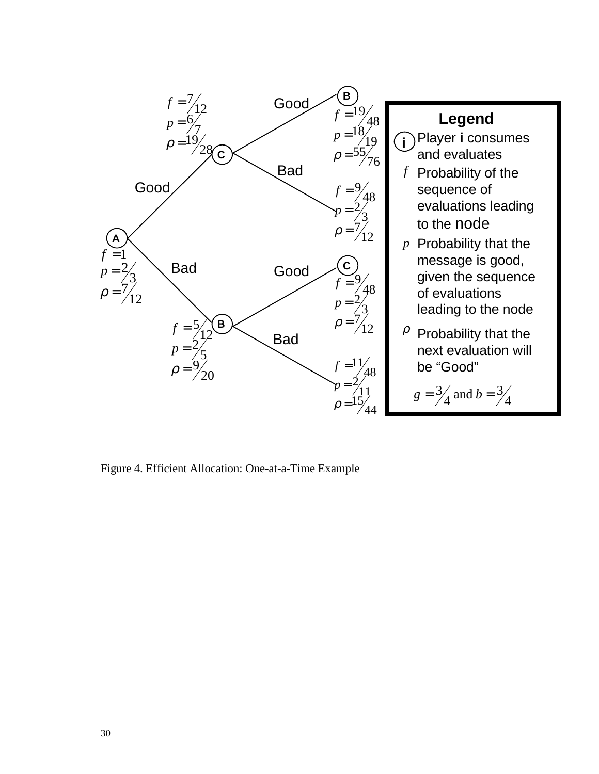

Figure 4. Efficient Allocation: One-at-a-Time Example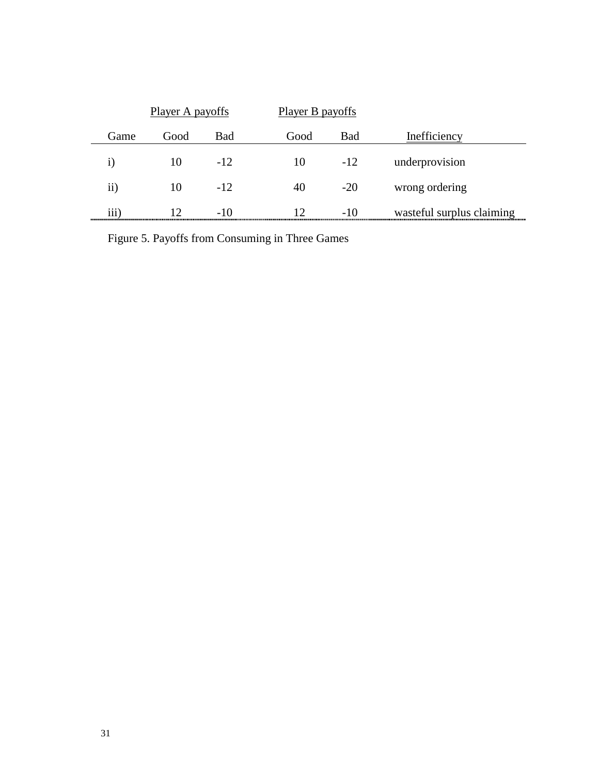|      | Player A payoffs |            | Player B payoffs |            |                           |
|------|------------------|------------|------------------|------------|---------------------------|
| Game | Good             | <b>Bad</b> | Good             | <b>Bad</b> | Inefficiency              |
| 1)   | 10               | $-12$      | 10               | $-12$      | underprovision            |
| 11)  | 10               | $-12$      | 40               | $-20$      | wrong ordering            |
| iii) | 12               | $-10$      | 12               | $-10$      | wasteful surplus claiming |

Figure 5. Payoffs from Consuming in Three Games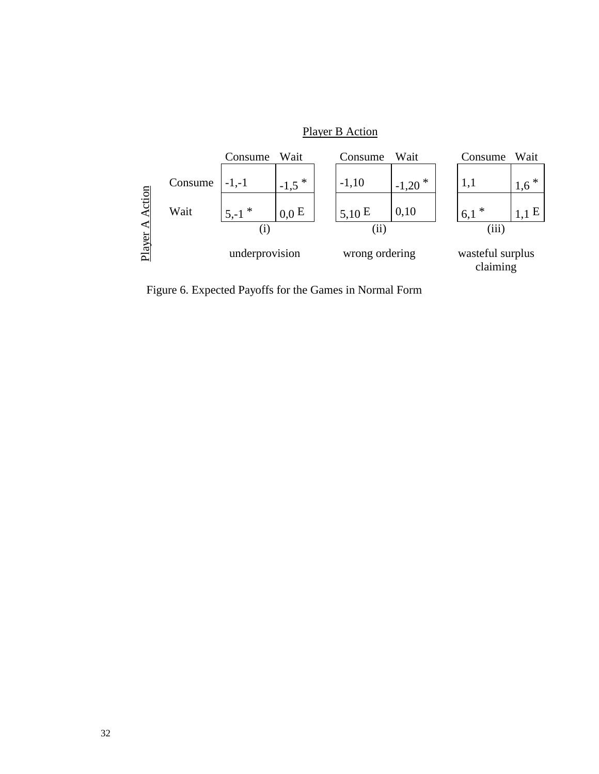

Figure 6. Expected Payoffs for the Games in Normal Form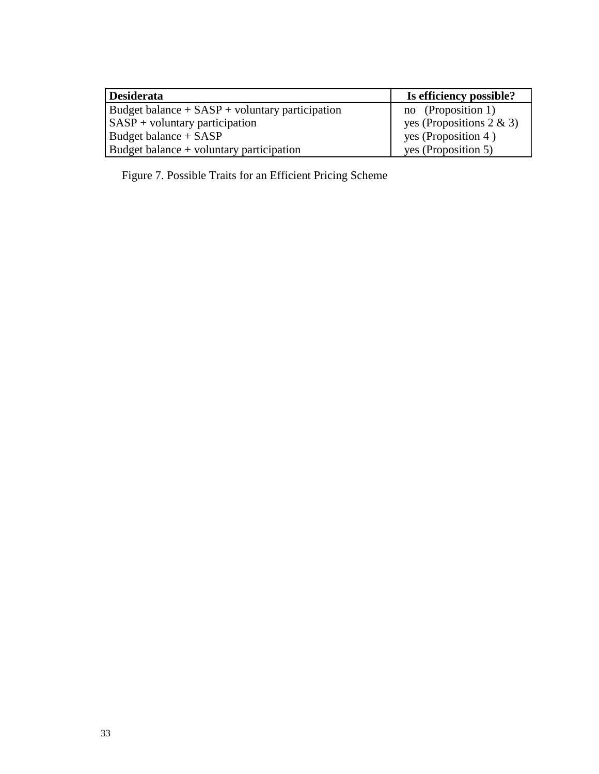| <b>Desiderata</b>                                   | Is efficiency possible?      |
|-----------------------------------------------------|------------------------------|
| Budget balance $+$ SASP $+$ voluntary participation | no (Proposition 1)           |
| $SASP + voluntary participation$                    | yes (Propositions $2 \& 3$ ) |
| Budget balance + SASP                               | yes (Proposition 4)          |
| Budget balance $+$ voluntary participation          | yes (Proposition 5)          |

Figure 7. Possible Traits for an Efficient Pricing Scheme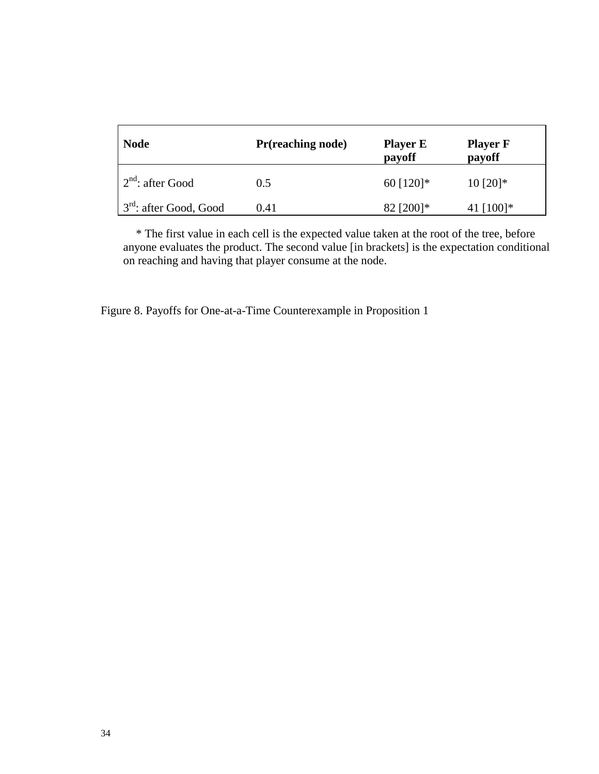| <b>Node</b>                      | <b>Pr</b> (reaching node) | <b>Player E</b><br>payoff | <b>Player F</b><br>payoff |
|----------------------------------|---------------------------|---------------------------|---------------------------|
| $2nd$ : after Good               | $0.5\,$                   | 60 $[120]*$               | $10 [20]$ *               |
| $\int 3^{rd}$ : after Good, Good | 0.41                      | 82 [200]*                 | 41 $[100]*$               |

\* The first value in each cell is the expected value taken at the root of the tree, before anyone evaluates the product. The second value [in brackets] is the expectation conditional on reaching and having that player consume at the node.

Figure 8. Payoffs for One-at-a-Time Counterexample in Proposition 1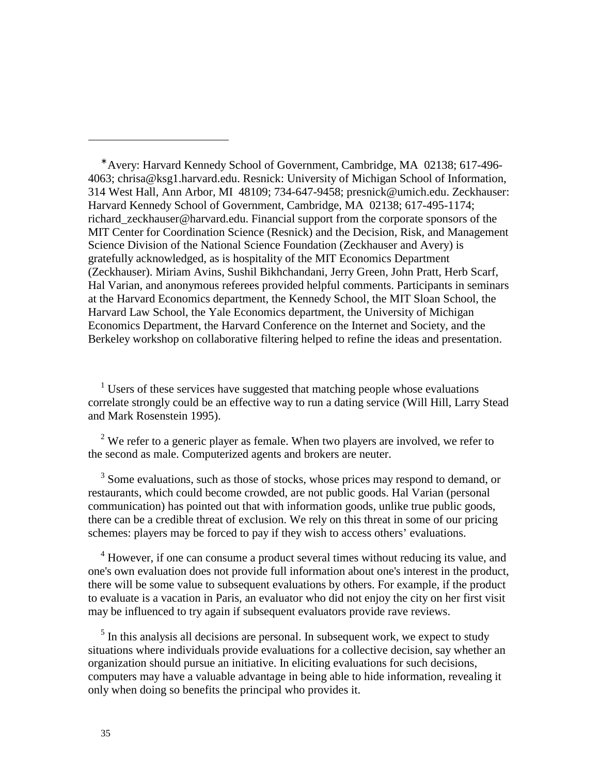∗ Avery: Harvard Kennedy School of Government, Cambridge, MA 02138; 617-496- 4063; chrisa@ksg1.harvard.edu. Resnick: University of Michigan School of Information, 314 West Hall, Ann Arbor, MI 48109; 734-647-9458; presnick@umich.edu. Zeckhauser: Harvard Kennedy School of Government, Cambridge, MA 02138; 617-495-1174; richard\_zeckhauser@harvard.edu. Financial support from the corporate sponsors of the MIT Center for Coordination Science (Resnick) and the Decision, Risk, and Management Science Division of the National Science Foundation (Zeckhauser and Avery) is gratefully acknowledged, as is hospitality of the MIT Economics Department (Zeckhauser). Miriam Avins, Sushil Bikhchandani, Jerry Green, John Pratt, Herb Scarf, Hal Varian, and anonymous referees provided helpful comments. Participants in seminars at the Harvard Economics department, the Kennedy School, the MIT Sloan School, the Harvard Law School, the Yale Economics department, the University of Michigan Economics Department, the Harvard Conference on the Internet and Society, and the Berkeley workshop on collaborative filtering helped to refine the ideas and presentation.

 $1$  Users of these services have suggested that matching people whose evaluations correlate strongly could be an effective way to run a dating service (Will Hill, Larry Stead and Mark Rosenstein 1995).

 $2$  We refer to a generic player as female. When two players are involved, we refer to the second as male. Computerized agents and brokers are neuter.

<sup>3</sup> Some evaluations, such as those of stocks, whose prices may respond to demand, or restaurants, which could become crowded, are not public goods. Hal Varian (personal communication) has pointed out that with information goods, unlike true public goods, there can be a credible threat of exclusion. We rely on this threat in some of our pricing schemes: players may be forced to pay if they wish to access others' evaluations.

<sup>4</sup> However, if one can consume a product several times without reducing its value, and one's own evaluation does not provide full information about one's interest in the product, there will be some value to subsequent evaluations by others. For example, if the product to evaluate is a vacation in Paris, an evaluator who did not enjoy the city on her first visit may be influenced to try again if subsequent evaluators provide rave reviews.

 $<sup>5</sup>$  In this analysis all decisions are personal. In subsequent work, we expect to study</sup> situations where individuals provide evaluations for a collective decision, say whether an organization should pursue an initiative. In eliciting evaluations for such decisions, computers may have a valuable advantage in being able to hide information, revealing it only when doing so benefits the principal who provides it.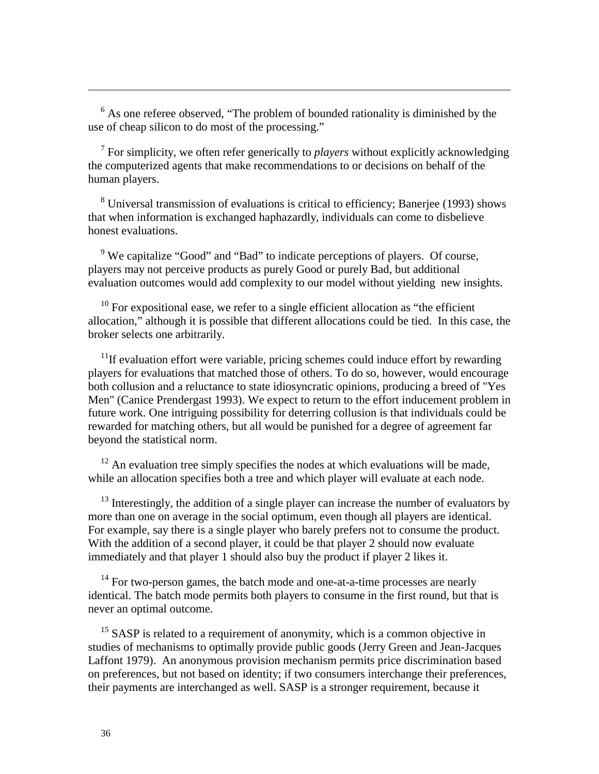$6$  As one referee observed, "The problem of bounded rationality is diminished by the use of cheap silicon to do most of the processing."

7 For simplicity, we often refer generically to *players* without explicitly acknowledging the computerized agents that make recommendations to or decisions on behalf of the human players.

<sup>8</sup> Universal transmission of evaluations is critical to efficiency; Banerjee (1993) shows that when information is exchanged haphazardly, individuals can come to disbelieve honest evaluations.

 $9$  We capitalize "Good" and "Bad" to indicate perceptions of players. Of course, players may not perceive products as purely Good or purely Bad, but additional evaluation outcomes would add complexity to our model without yielding new insights.

 $10$  For expositional ease, we refer to a single efficient allocation as "the efficient" allocation," although it is possible that different allocations could be tied. In this case, the broker selects one arbitrarily.

 $11$ If evaluation effort were variable, pricing schemes could induce effort by rewarding players for evaluations that matched those of others. To do so, however, would encourage both collusion and a reluctance to state idiosyncratic opinions, producing a breed of "Yes Men" (Canice Prendergast 1993). We expect to return to the effort inducement problem in future work. One intriguing possibility for deterring collusion is that individuals could be rewarded for matching others, but all would be punished for a degree of agreement far beyond the statistical norm.

 $12$  An evaluation tree simply specifies the nodes at which evaluations will be made, while an allocation specifies both a tree and which player will evaluate at each node.

<sup>13</sup> Interestingly, the addition of a single player can increase the number of evaluators by more than one on average in the social optimum, even though all players are identical. For example, say there is a single player who barely prefers not to consume the product. With the addition of a second player, it could be that player 2 should now evaluate immediately and that player 1 should also buy the product if player 2 likes it.

 $14$  For two-person games, the batch mode and one-at-a-time processes are nearly identical. The batch mode permits both players to consume in the first round, but that is never an optimal outcome.

 $15$  SASP is related to a requirement of anonymity, which is a common objective in studies of mechanisms to optimally provide public goods (Jerry Green and Jean-Jacques Laffont 1979). An anonymous provision mechanism permits price discrimination based on preferences, but not based on identity; if two consumers interchange their preferences, their payments are interchanged as well. SASP is a stronger requirement, because it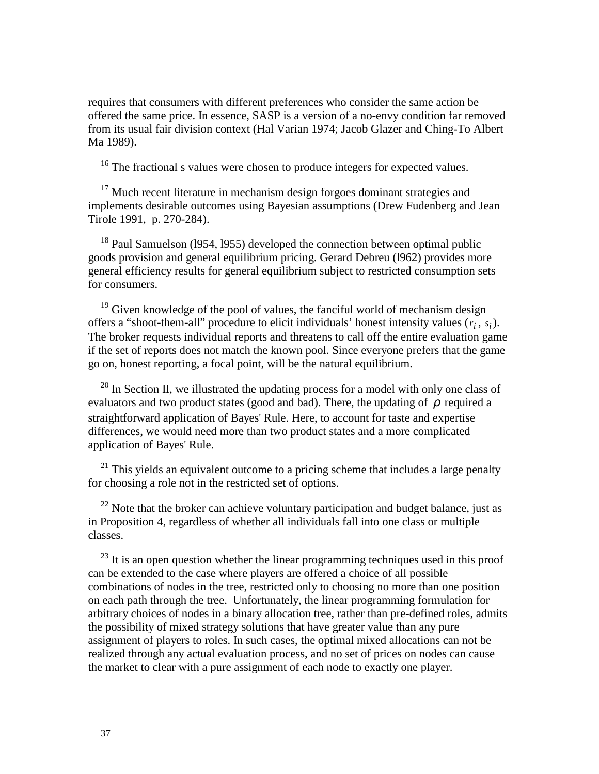requires that consumers with different preferences who consider the same action be offered the same price. In essence, SASP is a version of a no-envy condition far removed from its usual fair division context (Hal Varian 1974; Jacob Glazer and Ching-To Albert Ma 1989).

 $16$  The fractional s values were chosen to produce integers for expected values.

<sup>17</sup> Much recent literature in mechanism design forgoes dominant strategies and implements desirable outcomes using Bayesian assumptions (Drew Fudenberg and Jean Tirole 1991, p. 270-284).

<sup>18</sup> Paul Samuelson (1954, 1955) developed the connection between optimal public goods provision and general equilibrium pricing. Gerard Debreu (l962) provides more general efficiency results for general equilibrium subject to restricted consumption sets for consumers.

 $19$  Given knowledge of the pool of values, the fanciful world of mechanism design offers a "shoot-them-all" procedure to elicit individuals' honest intensity values  $(r_i, s_i)$ . The broker requests individual reports and threatens to call off the entire evaluation game if the set of reports does not match the known pool. Since everyone prefers that the game go on, honest reporting, a focal point, will be the natural equilibrium.

<sup>20</sup> In Section II, we illustrated the updating process for a model with only one class of evaluators and two product states (good and bad). There, the updating of  $\rho$  required a straightforward application of Bayes' Rule. Here, to account for taste and expertise differences, we would need more than two product states and a more complicated application of Bayes' Rule.

 $21$  This yields an equivalent outcome to a pricing scheme that includes a large penalty for choosing a role not in the restricted set of options.

 $22$  Note that the broker can achieve voluntary participation and budget balance, just as in Proposition 4, regardless of whether all individuals fall into one class or multiple classes.

 $^{23}$  It is an open question whether the linear programming techniques used in this proof can be extended to the case where players are offered a choice of all possible combinations of nodes in the tree, restricted only to choosing no more than one position on each path through the tree. Unfortunately, the linear programming formulation for arbitrary choices of nodes in a binary allocation tree, rather than pre-defined roles, admits the possibility of mixed strategy solutions that have greater value than any pure assignment of players to roles. In such cases, the optimal mixed allocations can not be realized through any actual evaluation process, and no set of prices on nodes can cause the market to clear with a pure assignment of each node to exactly one player.